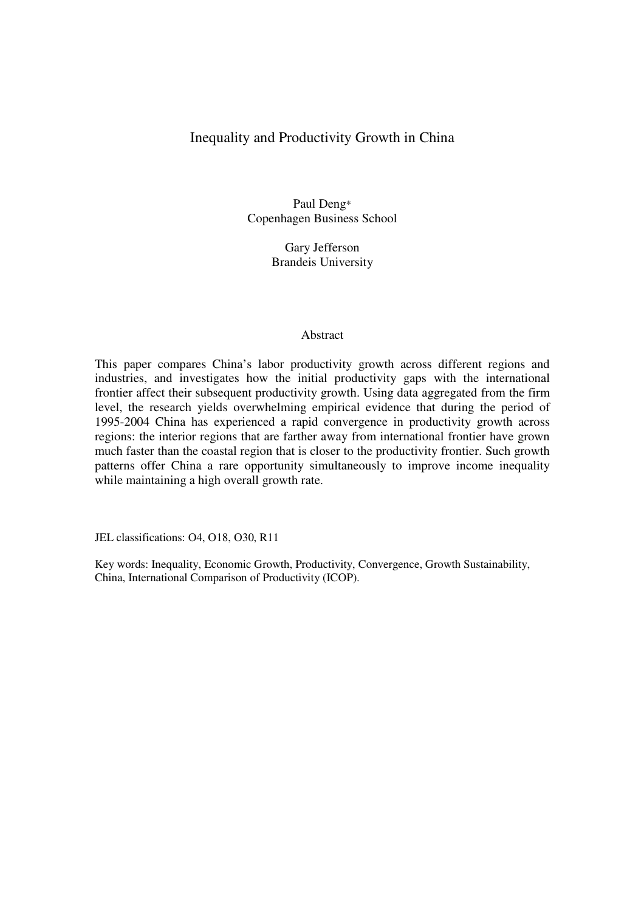# Inequality and Productivity Growth in China

Paul Deng\* Copenhagen Business School

> Gary Jefferson Brandeis University

### Abstract

This paper compares China's labor productivity growth across different regions and industries, and investigates how the initial productivity gaps with the international frontier affect their subsequent productivity growth. Using data aggregated from the firm level, the research yields overwhelming empirical evidence that during the period of 1995-2004 China has experienced a rapid convergence in productivity growth across regions: the interior regions that are farther away from international frontier have grown much faster than the coastal region that is closer to the productivity frontier. Such growth patterns offer China a rare opportunity simultaneously to improve income inequality while maintaining a high overall growth rate.

JEL classifications: O4, O18, O30, R11

Key words: Inequality, Economic Growth, Productivity, Convergence, Growth Sustainability, China, International Comparison of Productivity (ICOP).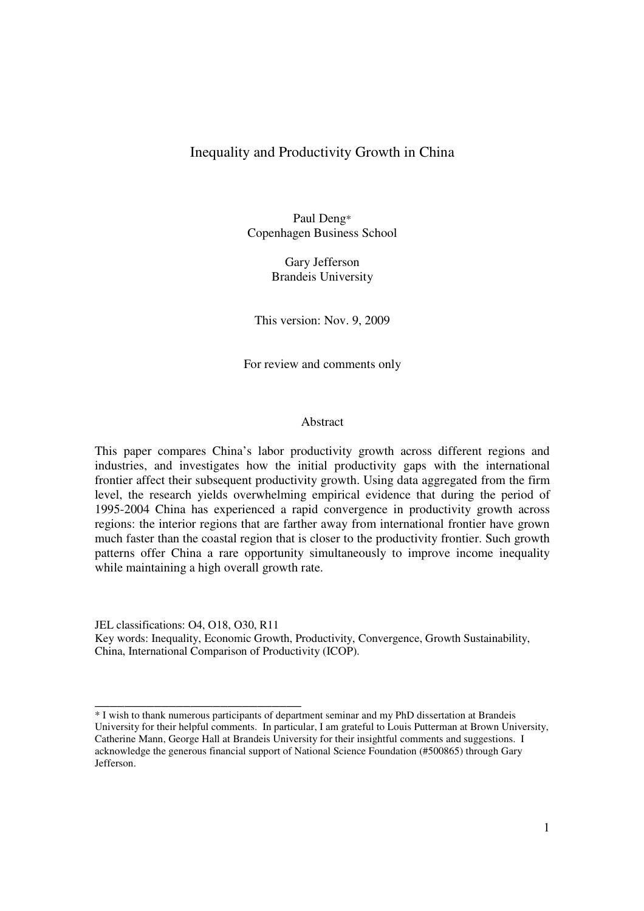# Inequality and Productivity Growth in China

Paul Deng\* Copenhagen Business School

> Gary Jefferson Brandeis University

This version: Nov. 9, 2009

For review and comments only

#### Abstract

This paper compares China's labor productivity growth across different regions and industries, and investigates how the initial productivity gaps with the international frontier affect their subsequent productivity growth. Using data aggregated from the firm level, the research yields overwhelming empirical evidence that during the period of 1995-2004 China has experienced a rapid convergence in productivity growth across regions: the interior regions that are farther away from international frontier have grown much faster than the coastal region that is closer to the productivity frontier. Such growth patterns offer China a rare opportunity simultaneously to improve income inequality while maintaining a high overall growth rate.

JEL classifications: O4, O18, O30, R11 Key words: Inequality, Economic Growth, Productivity, Convergence, Growth Sustainability, China, International Comparison of Productivity (ICOP).

\_\_\_\_\_\_\_\_\_\_\_\_\_\_\_\_\_\_\_\_\_\_\_\_\_\_\_\_

<sup>\*</sup> I wish to thank numerous participants of department seminar and my PhD dissertation at Brandeis University for their helpful comments. In particular, I am grateful to Louis Putterman at Brown University, Catherine Mann, George Hall at Brandeis University for their insightful comments and suggestions. I acknowledge the generous financial support of National Science Foundation (#500865) through Gary Jefferson.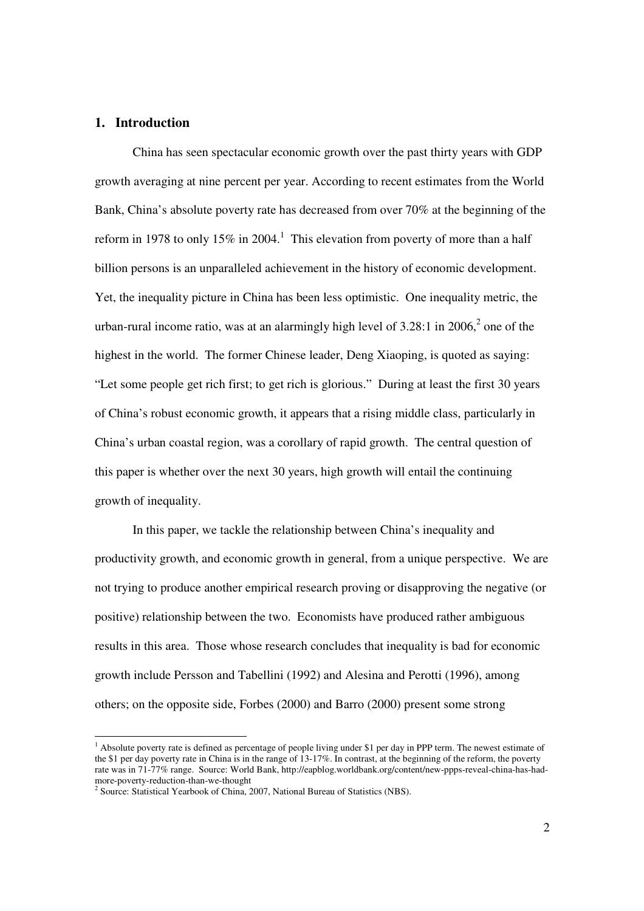# **1. Introduction**

 China has seen spectacular economic growth over the past thirty years with GDP growth averaging at nine percent per year. According to recent estimates from the World Bank, China's absolute poverty rate has decreased from over 70% at the beginning of the reform in 1978 to only 15% in 2004.<sup>1</sup> This elevation from poverty of more than a half billion persons is an unparalleled achievement in the history of economic development. Yet, the inequality picture in China has been less optimistic. One inequality metric, the urban-rural income ratio, was at an alarmingly high level of  $3.28:1$  in  $2006$ ,  $2$  one of the highest in the world. The former Chinese leader, Deng Xiaoping, is quoted as saying: "Let some people get rich first; to get rich is glorious." During at least the first 30 years of China's robust economic growth, it appears that a rising middle class, particularly in China's urban coastal region, was a corollary of rapid growth. The central question of this paper is whether over the next 30 years, high growth will entail the continuing growth of inequality.

 In this paper, we tackle the relationship between China's inequality and productivity growth, and economic growth in general, from a unique perspective. We are not trying to produce another empirical research proving or disapproving the negative (or positive) relationship between the two. Economists have produced rather ambiguous results in this area. Those whose research concludes that inequality is bad for economic growth include Persson and Tabellini (1992) and Alesina and Perotti (1996), among others; on the opposite side, Forbes (2000) and Barro (2000) present some strong

-

<sup>&</sup>lt;sup>1</sup> Absolute poverty rate is defined as percentage of people living under \$1 per day in PPP term. The newest estimate of the \$1 per day poverty rate in China is in the range of 13-17%. In contrast, at the beginning of the reform, the poverty rate was in 71-77% range. Source: World Bank, http://eapblog.worldbank.org/content/new-ppps-reveal-china-has-hadmore-poverty-reduction-than-we-thought

<sup>&</sup>lt;sup>2</sup> Source: Statistical Yearbook of China, 2007, National Bureau of Statistics (NBS).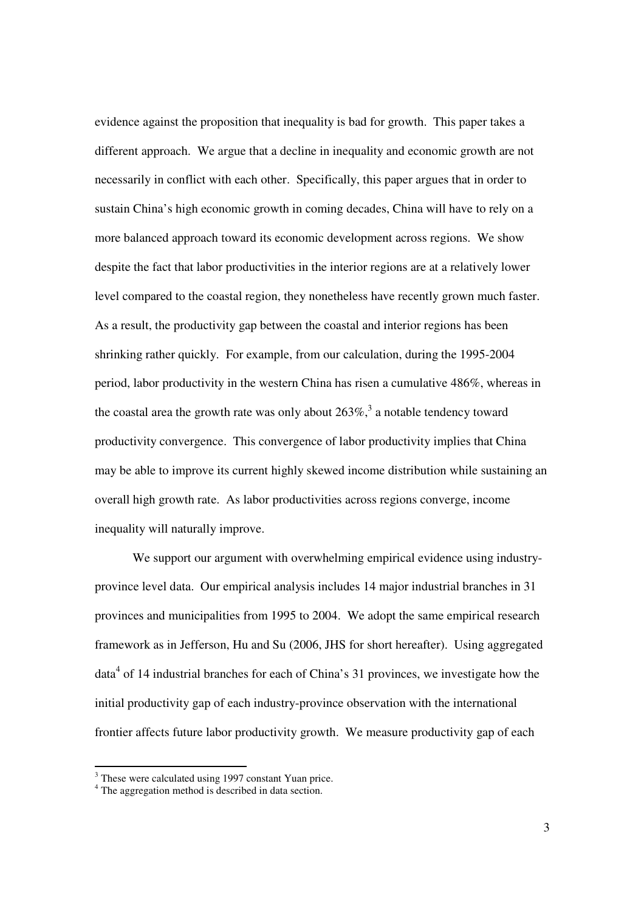evidence against the proposition that inequality is bad for growth. This paper takes a different approach. We argue that a decline in inequality and economic growth are not necessarily in conflict with each other. Specifically, this paper argues that in order to sustain China's high economic growth in coming decades, China will have to rely on a more balanced approach toward its economic development across regions. We show despite the fact that labor productivities in the interior regions are at a relatively lower level compared to the coastal region, they nonetheless have recently grown much faster. As a result, the productivity gap between the coastal and interior regions has been shrinking rather quickly. For example, from our calculation, during the 1995-2004 period, labor productivity in the western China has risen a cumulative 486%, whereas in the coastal area the growth rate was only about  $263\%$ ,<sup>3</sup> a notable tendency toward productivity convergence. This convergence of labor productivity implies that China may be able to improve its current highly skewed income distribution while sustaining an overall high growth rate. As labor productivities across regions converge, income inequality will naturally improve.

We support our argument with overwhelming empirical evidence using industryprovince level data. Our empirical analysis includes 14 major industrial branches in 31 provinces and municipalities from 1995 to 2004. We adopt the same empirical research framework as in Jefferson, Hu and Su (2006, JHS for short hereafter). Using aggregated data<sup>4</sup> of 14 industrial branches for each of China's 31 provinces, we investigate how the initial productivity gap of each industry-province observation with the international frontier affects future labor productivity growth. We measure productivity gap of each

<sup>&</sup>lt;sup>3</sup> These were calculated using 1997 constant Yuan price.

<sup>&</sup>lt;sup>4</sup> The aggregation method is described in data section.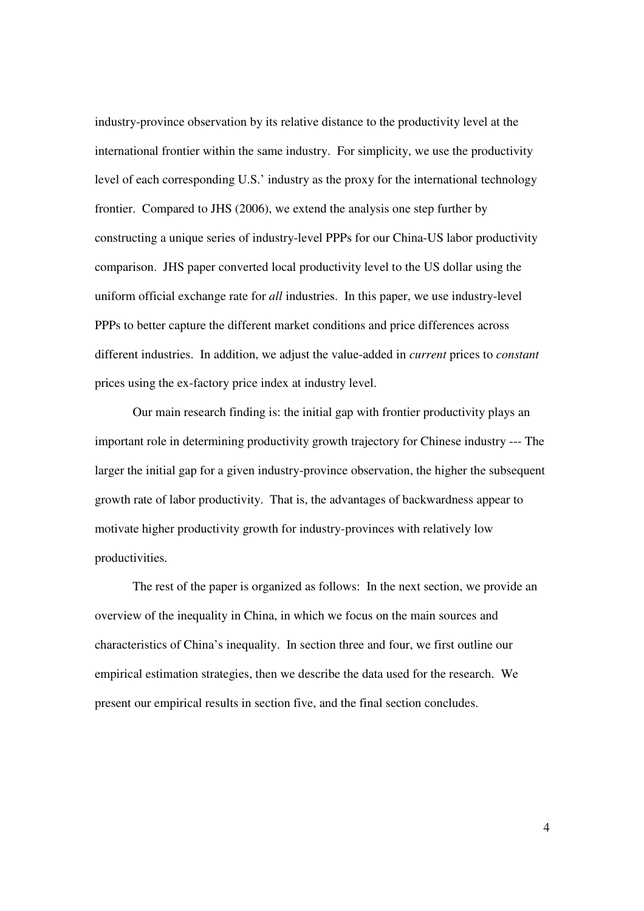industry-province observation by its relative distance to the productivity level at the international frontier within the same industry. For simplicity, we use the productivity level of each corresponding U.S.' industry as the proxy for the international technology frontier. Compared to JHS (2006), we extend the analysis one step further by constructing a unique series of industry-level PPPs for our China-US labor productivity comparison. JHS paper converted local productivity level to the US dollar using the uniform official exchange rate for *all* industries. In this paper, we use industry-level PPPs to better capture the different market conditions and price differences across different industries. In addition, we adjust the value-added in *current* prices to *constant* prices using the ex-factory price index at industry level.

 Our main research finding is: the initial gap with frontier productivity plays an important role in determining productivity growth trajectory for Chinese industry --- The larger the initial gap for a given industry-province observation, the higher the subsequent growth rate of labor productivity. That is, the advantages of backwardness appear to motivate higher productivity growth for industry-provinces with relatively low productivities.

 The rest of the paper is organized as follows: In the next section, we provide an overview of the inequality in China, in which we focus on the main sources and characteristics of China's inequality. In section three and four, we first outline our empirical estimation strategies, then we describe the data used for the research. We present our empirical results in section five, and the final section concludes.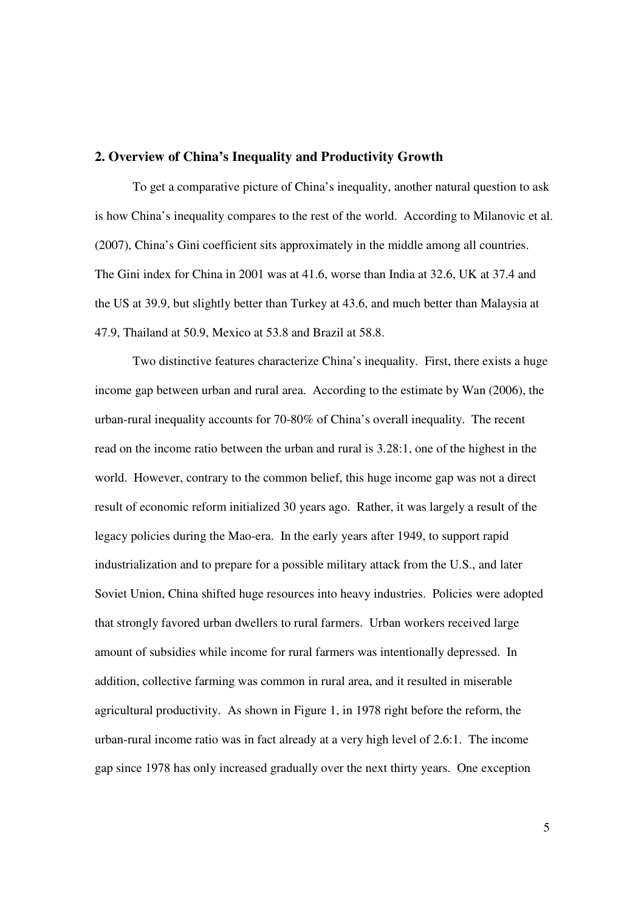#### **2. Overview of China's Inequality and Productivity Growth**

 To get a comparative picture of China's inequality, another natural question to ask is how China's inequality compares to the rest of the world. According to Milanovic et al. (2007), China's Gini coefficient sits approximately in the middle among all countries. The Gini index for China in 2001 was at 41.6, worse than India at 32.6, UK at 37.4 and the US at 39.9, but slightly better than Turkey at 43.6, and much better than Malaysia at 47.9, Thailand at 50.9, Mexico at 53.8 and Brazil at 58.8.

Two distinctive features characterize China's inequality. First, there exists a huge income gap between urban and rural area. According to the estimate by Wan (2006), the urban-rural inequality accounts for 70-80% of China's overall inequality. The recent read on the income ratio between the urban and rural is 3.28:1, one of the highest in the world. However, contrary to the common belief, this huge income gap was not a direct result of economic reform initialized 30 years ago. Rather, it was largely a result of the legacy policies during the Mao-era. In the early years after 1949, to support rapid industrialization and to prepare for a possible military attack from the U.S., and later Soviet Union, China shifted huge resources into heavy industries. Policies were adopted that strongly favored urban dwellers to rural farmers. Urban workers received large amount of subsidies while income for rural farmers was intentionally depressed. In addition, collective farming was common in rural area, and it resulted in miserable agricultural productivity. As shown in Figure 1, in 1978 right before the reform, the urban-rural income ratio was in fact already at a very high level of 2.6:1. The income gap since 1978 has only increased gradually over the next thirty years. One exception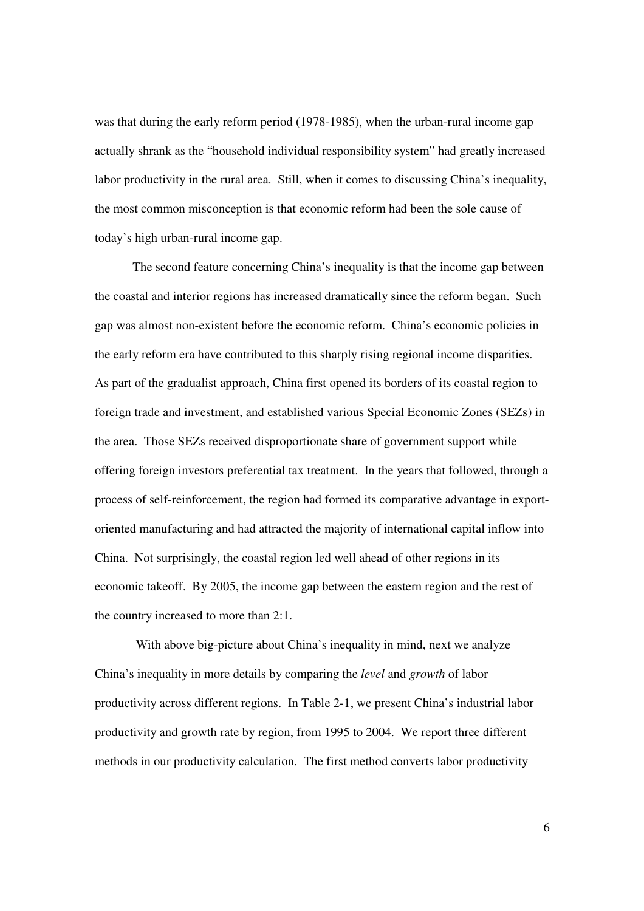was that during the early reform period (1978-1985), when the urban-rural income gap actually shrank as the "household individual responsibility system" had greatly increased labor productivity in the rural area. Still, when it comes to discussing China's inequality, the most common misconception is that economic reform had been the sole cause of today's high urban-rural income gap.

 The second feature concerning China's inequality is that the income gap between the coastal and interior regions has increased dramatically since the reform began. Such gap was almost non-existent before the economic reform. China's economic policies in the early reform era have contributed to this sharply rising regional income disparities. As part of the gradualist approach, China first opened its borders of its coastal region to foreign trade and investment, and established various Special Economic Zones (SEZs) in the area. Those SEZs received disproportionate share of government support while offering foreign investors preferential tax treatment. In the years that followed, through a process of self-reinforcement, the region had formed its comparative advantage in exportoriented manufacturing and had attracted the majority of international capital inflow into China. Not surprisingly, the coastal region led well ahead of other regions in its economic takeoff. By 2005, the income gap between the eastern region and the rest of the country increased to more than 2:1.

 With above big-picture about China's inequality in mind, next we analyze China's inequality in more details by comparing the *level* and *growth* of labor productivity across different regions. In Table 2-1, we present China's industrial labor productivity and growth rate by region, from 1995 to 2004. We report three different methods in our productivity calculation. The first method converts labor productivity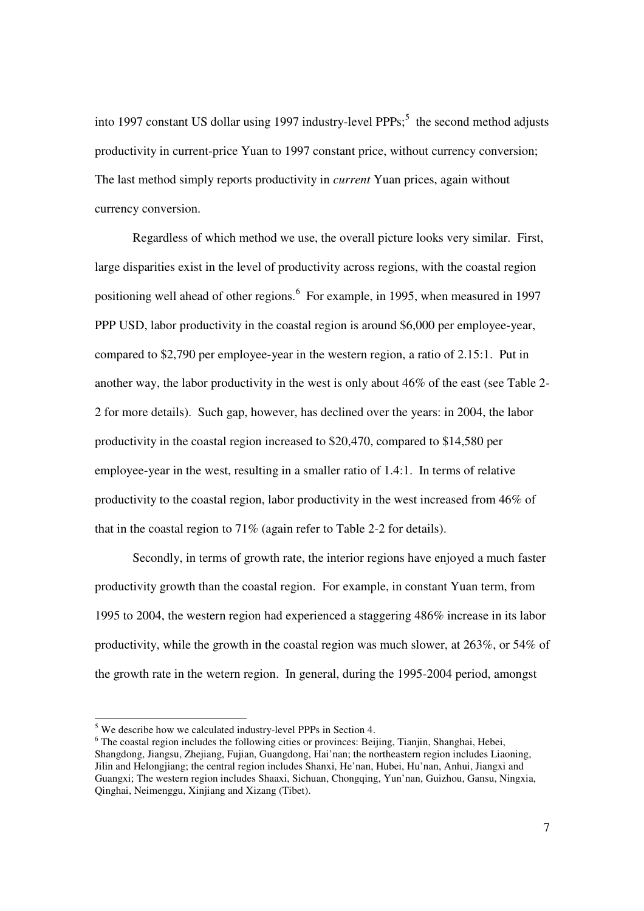into 1997 constant US dollar using 1997 industry-level PPPs; $<sup>5</sup>$  the second method adjusts</sup> productivity in current-price Yuan to 1997 constant price, without currency conversion; The last method simply reports productivity in *current* Yuan prices, again without currency conversion.

Regardless of which method we use, the overall picture looks very similar. First, large disparities exist in the level of productivity across regions, with the coastal region positioning well ahead of other regions. <sup>6</sup> For example, in 1995, when measured in 1997 PPP USD, labor productivity in the coastal region is around \$6,000 per employee-year, compared to \$2,790 per employee-year in the western region, a ratio of 2.15:1. Put in another way, the labor productivity in the west is only about 46% of the east (see Table 2- 2 for more details). Such gap, however, has declined over the years: in 2004, the labor productivity in the coastal region increased to \$20,470, compared to \$14,580 per employee-year in the west, resulting in a smaller ratio of 1.4:1. In terms of relative productivity to the coastal region, labor productivity in the west increased from 46% of that in the coastal region to 71% (again refer to Table 2-2 for details).

 Secondly, in terms of growth rate, the interior regions have enjoyed a much faster productivity growth than the coastal region. For example, in constant Yuan term, from 1995 to 2004, the western region had experienced a staggering 486% increase in its labor productivity, while the growth in the coastal region was much slower, at 263%, or 54% of the growth rate in the wetern region. In general, during the 1995-2004 period, amongst

-

<sup>&</sup>lt;sup>5</sup> We describe how we calculated industry-level PPPs in Section 4.

<sup>&</sup>lt;sup>6</sup> The coastal region includes the following cities or provinces: Beijing, Tianjin, Shanghai, Hebei, Shangdong, Jiangsu, Zhejiang, Fujian, Guangdong, Hai'nan; the northeastern region includes Liaoning, Jilin and Helongjiang; the central region includes Shanxi, He'nan, Hubei, Hu'nan, Anhui, Jiangxi and Guangxi; The western region includes Shaaxi, Sichuan, Chongqing, Yun'nan, Guizhou, Gansu, Ningxia, Qinghai, Neimenggu, Xinjiang and Xizang (Tibet).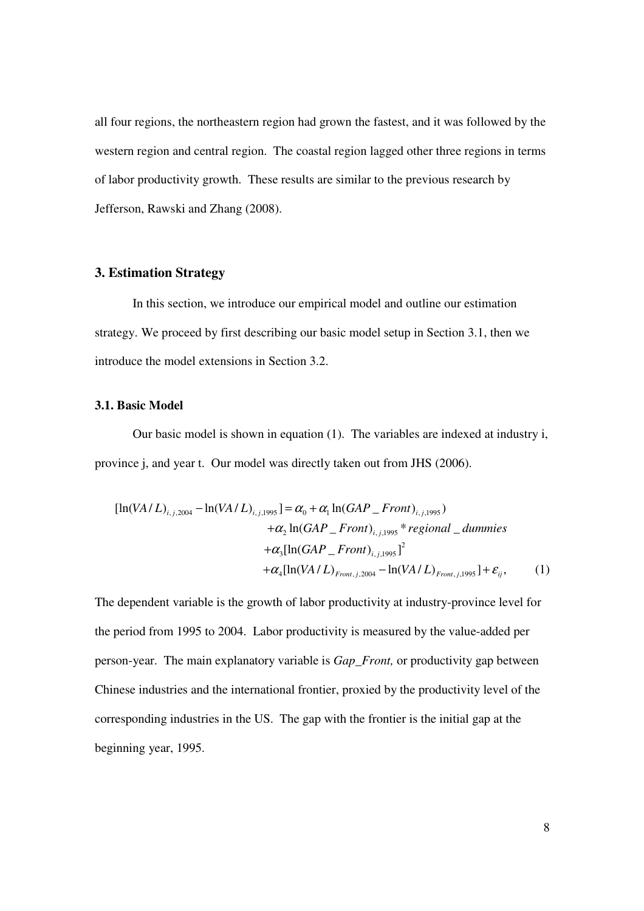all four regions, the northeastern region had grown the fastest, and it was followed by the western region and central region. The coastal region lagged other three regions in terms of labor productivity growth. These results are similar to the previous research by Jefferson, Rawski and Zhang (2008).

## **3. Estimation Strategy**

 In this section, we introduce our empirical model and outline our estimation strategy. We proceed by first describing our basic model setup in Section 3.1, then we introduce the model extensions in Section 3.2.

# **3.1. Basic Model**

Our basic model is shown in equation (1). The variables are indexed at industry i, province j, and year t. Our model was directly taken out from JHS (2006).

$$
[\ln(VA/L)_{i,j,2004} - \ln(VA/L)_{i,j,1995}] = \alpha_0 + \alpha_1 \ln(GAP\_Front)_{i,j,1995})
$$
  
+  $\alpha_2 \ln(GAP\_Front)_{i,j,1995} * regional\_dummies$   
+  $\alpha_3 [\ln(GAP\_Front)_{i,j,1995}]^2$   
+  $\alpha_4 [\ln(VA/L)_{Front,j,2004} - \ln(VA/L)_{Front,j,1995}] + \varepsilon_{ij},$  (1)

The dependent variable is the growth of labor productivity at industry-province level for the period from 1995 to 2004. Labor productivity is measured by the value-added per person-year. The main explanatory variable is *Gap\_Front,* or productivity gap between Chinese industries and the international frontier, proxied by the productivity level of the corresponding industries in the US. The gap with the frontier is the initial gap at the beginning year, 1995.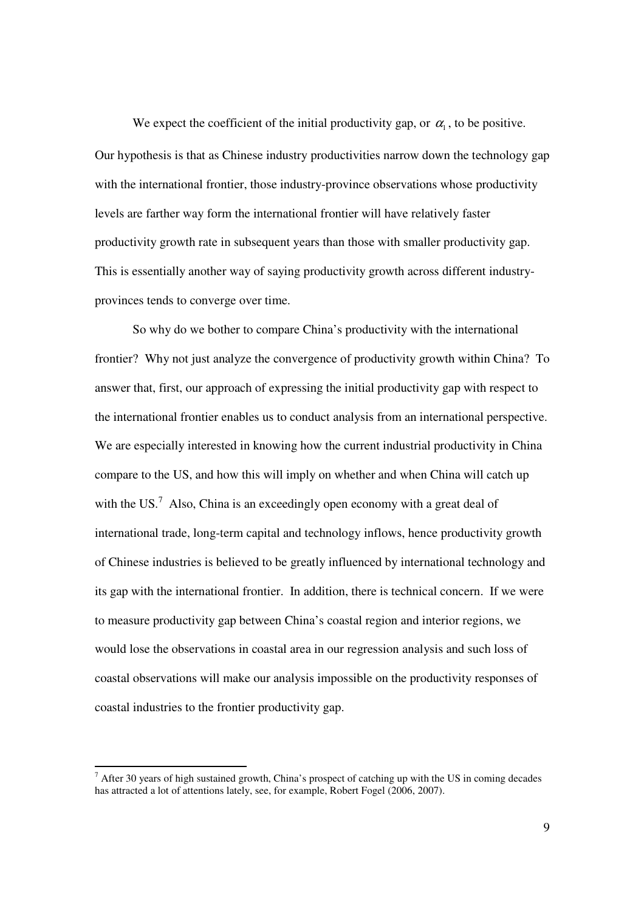We expect the coefficient of the initial productivity gap, or  $\alpha_1$ , to be positive. Our hypothesis is that as Chinese industry productivities narrow down the technology gap with the international frontier, those industry-province observations whose productivity levels are farther way form the international frontier will have relatively faster productivity growth rate in subsequent years than those with smaller productivity gap. This is essentially another way of saying productivity growth across different industryprovinces tends to converge over time.

So why do we bother to compare China's productivity with the international frontier? Why not just analyze the convergence of productivity growth within China? To answer that, first, our approach of expressing the initial productivity gap with respect to the international frontier enables us to conduct analysis from an international perspective. We are especially interested in knowing how the current industrial productivity in China compare to the US, and how this will imply on whether and when China will catch up with the US. $<sup>7</sup>$  Also, China is an exceedingly open economy with a great deal of</sup> international trade, long-term capital and technology inflows, hence productivity growth of Chinese industries is believed to be greatly influenced by international technology and its gap with the international frontier. In addition, there is technical concern. If we were to measure productivity gap between China's coastal region and interior regions, we would lose the observations in coastal area in our regression analysis and such loss of coastal observations will make our analysis impossible on the productivity responses of coastal industries to the frontier productivity gap.

 $\frac{1}{7}$  After 30 years of high sustained growth, China's prospect of catching up with the US in coming decades has attracted a lot of attentions lately, see, for example, Robert Fogel (2006, 2007).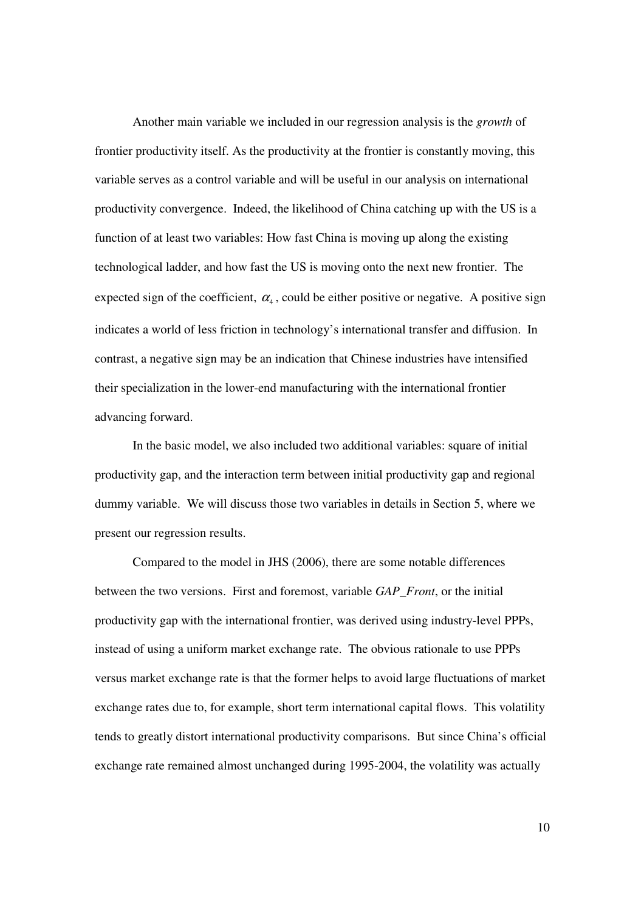Another main variable we included in our regression analysis is the *growth* of frontier productivity itself. As the productivity at the frontier is constantly moving, this variable serves as a control variable and will be useful in our analysis on international productivity convergence. Indeed, the likelihood of China catching up with the US is a function of at least two variables: How fast China is moving up along the existing technological ladder, and how fast the US is moving onto the next new frontier. The expected sign of the coefficient,  $\alpha_4$ , could be either positive or negative. A positive sign indicates a world of less friction in technology's international transfer and diffusion. In contrast, a negative sign may be an indication that Chinese industries have intensified their specialization in the lower-end manufacturing with the international frontier advancing forward.

In the basic model, we also included two additional variables: square of initial productivity gap, and the interaction term between initial productivity gap and regional dummy variable. We will discuss those two variables in details in Section 5, where we present our regression results.

Compared to the model in JHS (2006), there are some notable differences between the two versions. First and foremost, variable *GAP\_Front*, or the initial productivity gap with the international frontier, was derived using industry-level PPPs, instead of using a uniform market exchange rate. The obvious rationale to use PPPs versus market exchange rate is that the former helps to avoid large fluctuations of market exchange rates due to, for example, short term international capital flows. This volatility tends to greatly distort international productivity comparisons. But since China's official exchange rate remained almost unchanged during 1995-2004, the volatility was actually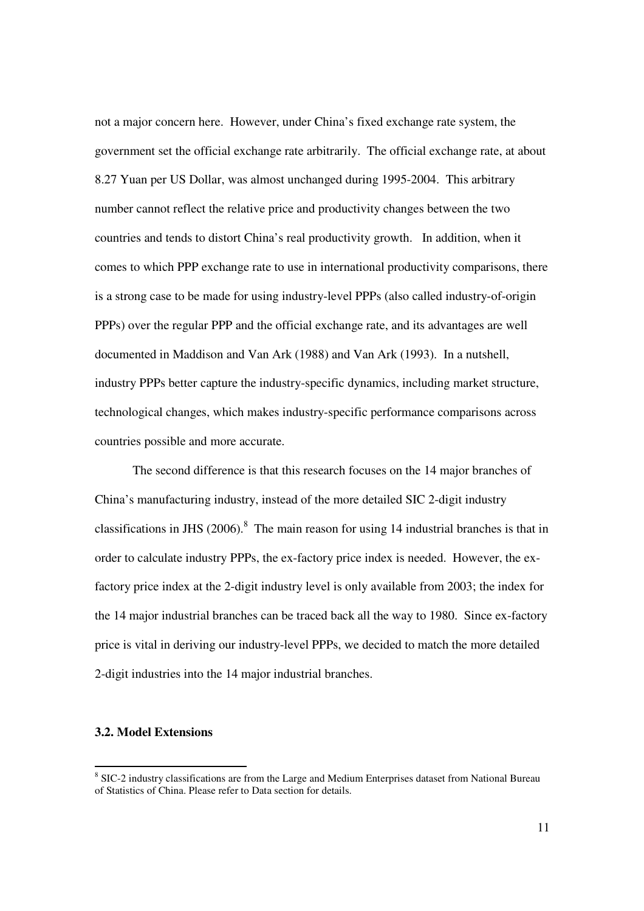not a major concern here. However, under China's fixed exchange rate system, the government set the official exchange rate arbitrarily. The official exchange rate, at about 8.27 Yuan per US Dollar, was almost unchanged during 1995-2004. This arbitrary number cannot reflect the relative price and productivity changes between the two countries and tends to distort China's real productivity growth. In addition, when it comes to which PPP exchange rate to use in international productivity comparisons, there is a strong case to be made for using industry-level PPPs (also called industry-of-origin PPPs) over the regular PPP and the official exchange rate, and its advantages are well documented in Maddison and Van Ark (1988) and Van Ark (1993). In a nutshell, industry PPPs better capture the industry-specific dynamics, including market structure, technological changes, which makes industry-specific performance comparisons across countries possible and more accurate.

 The second difference is that this research focuses on the 14 major branches of China's manufacturing industry, instead of the more detailed SIC 2-digit industry classifications in JHS (2006).<sup>8</sup> The main reason for using 14 industrial branches is that in order to calculate industry PPPs, the ex-factory price index is needed. However, the exfactory price index at the 2-digit industry level is only available from 2003; the index for the 14 major industrial branches can be traced back all the way to 1980. Since ex-factory price is vital in deriving our industry-level PPPs, we decided to match the more detailed 2-digit industries into the 14 major industrial branches.

# **3.2. Model Extensions**

-

<sup>&</sup>lt;sup>8</sup> SIC-2 industry classifications are from the Large and Medium Enterprises dataset from National Bureau of Statistics of China. Please refer to Data section for details.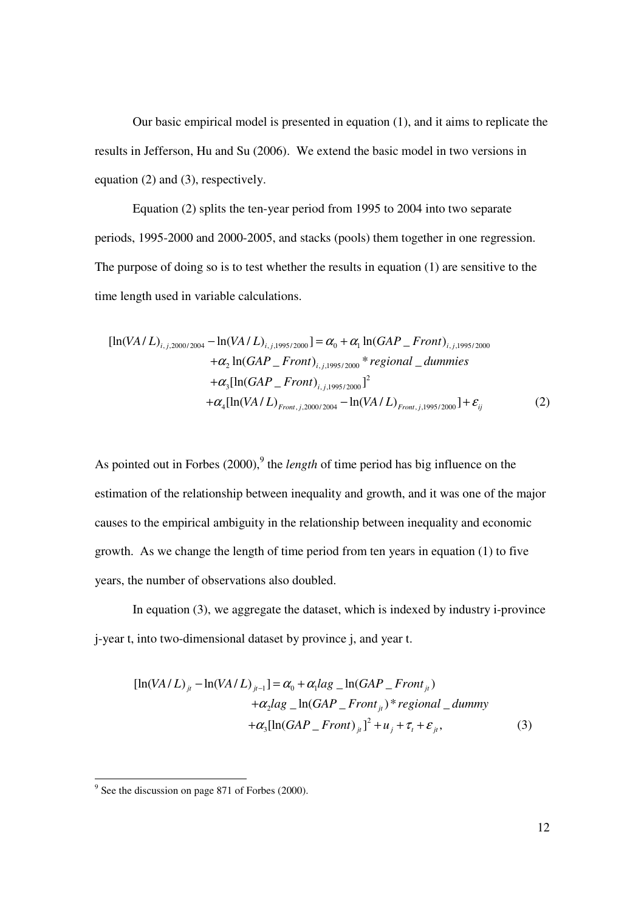Our basic empirical model is presented in equation (1), and it aims to replicate the results in Jefferson, Hu and Su (2006). We extend the basic model in two versions in equation (2) and (3), respectively.

 Equation (2) splits the ten-year period from 1995 to 2004 into two separate periods, 1995-2000 and 2000-2005, and stacks (pools) them together in one regression. The purpose of doing so is to test whether the results in equation (1) are sensitive to the time length used in variable calculations.

$$
[\ln(VA/L)_{i,j,2000/2004} - \ln(VA/L)_{i,j,1995/2000}] = \alpha_0 + \alpha_1 \ln(GAP\_Front)_{i,j,1995/2000}
$$
  
+  $\alpha_2 \ln(GAP\_Front)_{i,j,1995/2000}$  \* *regional\\_dummies*  
+  $\alpha_3 [\ln(GAP\_Front)_{i,j,1995/2000}]^2$   
+  $\alpha_4 [\ln(VA/L)_{Front,j,2000/2004} - \ln(VA/L)_{Front,j,1995/2000}] + \varepsilon_{ij}$  (2)

As pointed out in Forbes (2000),<sup>9</sup> the *length* of time period has big influence on the estimation of the relationship between inequality and growth, and it was one of the major causes to the empirical ambiguity in the relationship between inequality and economic growth. As we change the length of time period from ten years in equation (1) to five years, the number of observations also doubled.

 In equation (3), we aggregate the dataset, which is indexed by industry i-province j-year t, into two-dimensional dataset by province j, and year t.

$$
[\ln(VA/L)_{ji} - \ln(VA/L)_{ji-1}] = \alpha_0 + \alpha_1 \log_{10}(GAP\_Front_{ji})
$$
  
+  $\alpha_2 \log_{10}(GAP\_Front_{ji})$ \* regional\\_dummy  
+ $\alpha_3 [\ln(GAP\_Front)_{ji}]^2 + u_j + \tau_i + \varepsilon_{ji}$ , (3)

<sup>&</sup>lt;sup>9</sup> See the discussion on page 871 of Forbes (2000).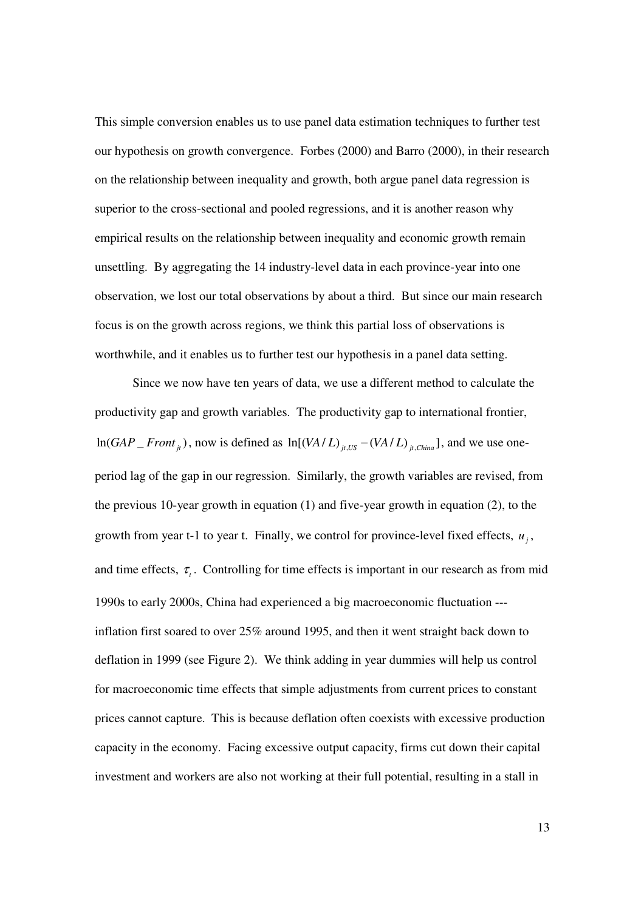This simple conversion enables us to use panel data estimation techniques to further test our hypothesis on growth convergence. Forbes (2000) and Barro (2000), in their research on the relationship between inequality and growth, both argue panel data regression is superior to the cross-sectional and pooled regressions, and it is another reason why empirical results on the relationship between inequality and economic growth remain unsettling. By aggregating the 14 industry-level data in each province-year into one observation, we lost our total observations by about a third. But since our main research focus is on the growth across regions, we think this partial loss of observations is worthwhile, and it enables us to further test our hypothesis in a panel data setting.

 Since we now have ten years of data, we use a different method to calculate the productivity gap and growth variables. The productivity gap to international frontier,  $\ln(GAP \sim \text{Front}_{it}$ ), now is defined as  $\ln[(VA/L)_{it,US} - (VA/L)_{it,China}]$ , and we use oneperiod lag of the gap in our regression. Similarly, the growth variables are revised, from the previous 10-year growth in equation (1) and five-year growth in equation (2), to the growth from year t-1 to year t. Finally, we control for province-level fixed effects,  $u_j$ , and time effects,  $\tau$ <sub>t</sub>. Controlling for time effects is important in our research as from mid 1990s to early 2000s, China had experienced a big macroeconomic fluctuation -- inflation first soared to over 25% around 1995, and then it went straight back down to deflation in 1999 (see Figure 2). We think adding in year dummies will help us control for macroeconomic time effects that simple adjustments from current prices to constant prices cannot capture. This is because deflation often coexists with excessive production capacity in the economy. Facing excessive output capacity, firms cut down their capital investment and workers are also not working at their full potential, resulting in a stall in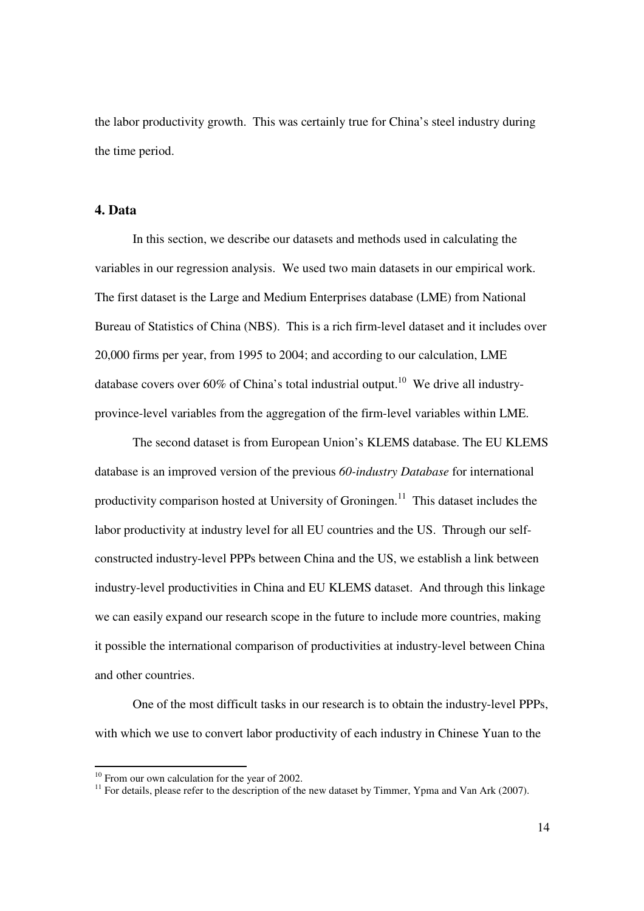the labor productivity growth. This was certainly true for China's steel industry during the time period.

# **4. Data**

In this section, we describe our datasets and methods used in calculating the variables in our regression analysis. We used two main datasets in our empirical work. The first dataset is the Large and Medium Enterprises database (LME) from National Bureau of Statistics of China (NBS). This is a rich firm-level dataset and it includes over 20,000 firms per year, from 1995 to 2004; and according to our calculation, LME database covers over  $60\%$  of China's total industrial output.<sup>10</sup> We drive all industryprovince-level variables from the aggregation of the firm-level variables within LME.

 The second dataset is from European Union's KLEMS database. The EU KLEMS database is an improved version of the previous *60-industry Database* for international productivity comparison hosted at University of Groningen.<sup>11</sup> This dataset includes the labor productivity at industry level for all EU countries and the US. Through our selfconstructed industry-level PPPs between China and the US, we establish a link between industry-level productivities in China and EU KLEMS dataset. And through this linkage we can easily expand our research scope in the future to include more countries, making it possible the international comparison of productivities at industry-level between China and other countries.

One of the most difficult tasks in our research is to obtain the industry-level PPPs, with which we use to convert labor productivity of each industry in Chinese Yuan to the

-

 $10$  From our own calculation for the year of 2002.

 $11$  For details, please refer to the description of the new dataset by Timmer, Ypma and Van Ark (2007).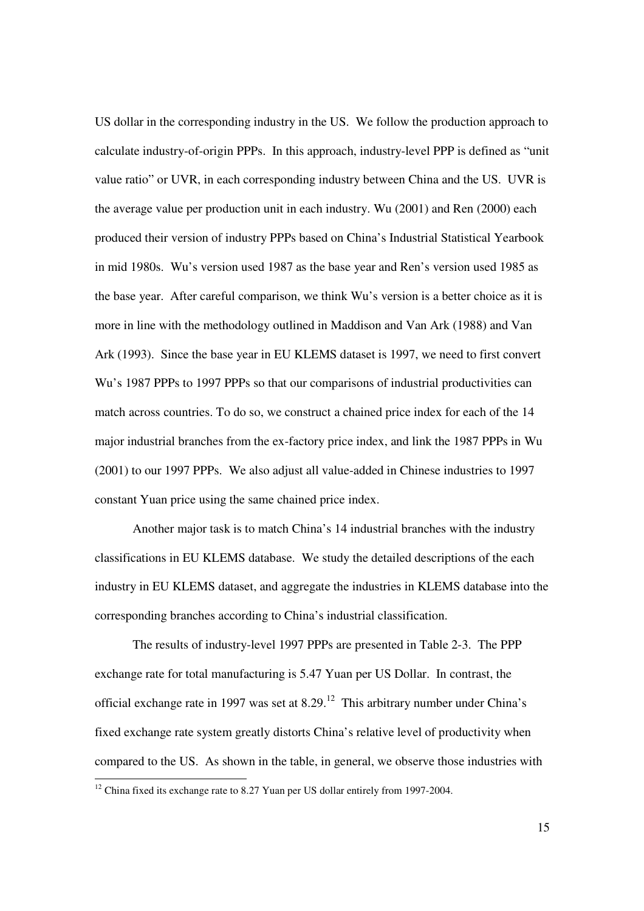US dollar in the corresponding industry in the US. We follow the production approach to calculate industry-of-origin PPPs. In this approach, industry-level PPP is defined as "unit value ratio" or UVR, in each corresponding industry between China and the US. UVR is the average value per production unit in each industry. Wu (2001) and Ren (2000) each produced their version of industry PPPs based on China's Industrial Statistical Yearbook in mid 1980s. Wu's version used 1987 as the base year and Ren's version used 1985 as the base year. After careful comparison, we think Wu's version is a better choice as it is more in line with the methodology outlined in Maddison and Van Ark (1988) and Van Ark (1993). Since the base year in EU KLEMS dataset is 1997, we need to first convert Wu's 1987 PPPs to 1997 PPPs so that our comparisons of industrial productivities can match across countries. To do so, we construct a chained price index for each of the 14 major industrial branches from the ex-factory price index, and link the 1987 PPPs in Wu (2001) to our 1997 PPPs. We also adjust all value-added in Chinese industries to 1997 constant Yuan price using the same chained price index.

 Another major task is to match China's 14 industrial branches with the industry classifications in EU KLEMS database. We study the detailed descriptions of the each industry in EU KLEMS dataset, and aggregate the industries in KLEMS database into the corresponding branches according to China's industrial classification.

 The results of industry-level 1997 PPPs are presented in Table 2-3. The PPP exchange rate for total manufacturing is 5.47 Yuan per US Dollar. In contrast, the official exchange rate in 1997 was set at  $8.29$ .<sup>12</sup> This arbitrary number under China's fixed exchange rate system greatly distorts China's relative level of productivity when compared to the US. As shown in the table, in general, we observe those industries with

<u>.</u>

 $12$  China fixed its exchange rate to 8.27 Yuan per US dollar entirely from 1997-2004.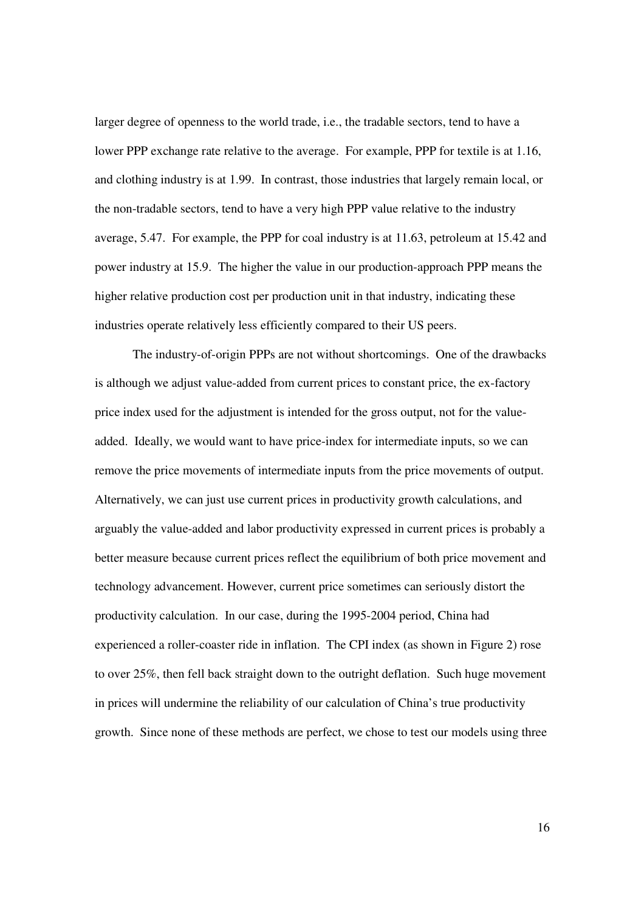larger degree of openness to the world trade, i.e., the tradable sectors, tend to have a lower PPP exchange rate relative to the average. For example, PPP for textile is at 1.16, and clothing industry is at 1.99. In contrast, those industries that largely remain local, or the non-tradable sectors, tend to have a very high PPP value relative to the industry average, 5.47. For example, the PPP for coal industry is at 11.63, petroleum at 15.42 and power industry at 15.9. The higher the value in our production-approach PPP means the higher relative production cost per production unit in that industry, indicating these industries operate relatively less efficiently compared to their US peers.

 The industry-of-origin PPPs are not without shortcomings. One of the drawbacks is although we adjust value-added from current prices to constant price, the ex-factory price index used for the adjustment is intended for the gross output, not for the valueadded. Ideally, we would want to have price-index for intermediate inputs, so we can remove the price movements of intermediate inputs from the price movements of output. Alternatively, we can just use current prices in productivity growth calculations, and arguably the value-added and labor productivity expressed in current prices is probably a better measure because current prices reflect the equilibrium of both price movement and technology advancement. However, current price sometimes can seriously distort the productivity calculation. In our case, during the 1995-2004 period, China had experienced a roller-coaster ride in inflation. The CPI index (as shown in Figure 2) rose to over 25%, then fell back straight down to the outright deflation. Such huge movement in prices will undermine the reliability of our calculation of China's true productivity growth. Since none of these methods are perfect, we chose to test our models using three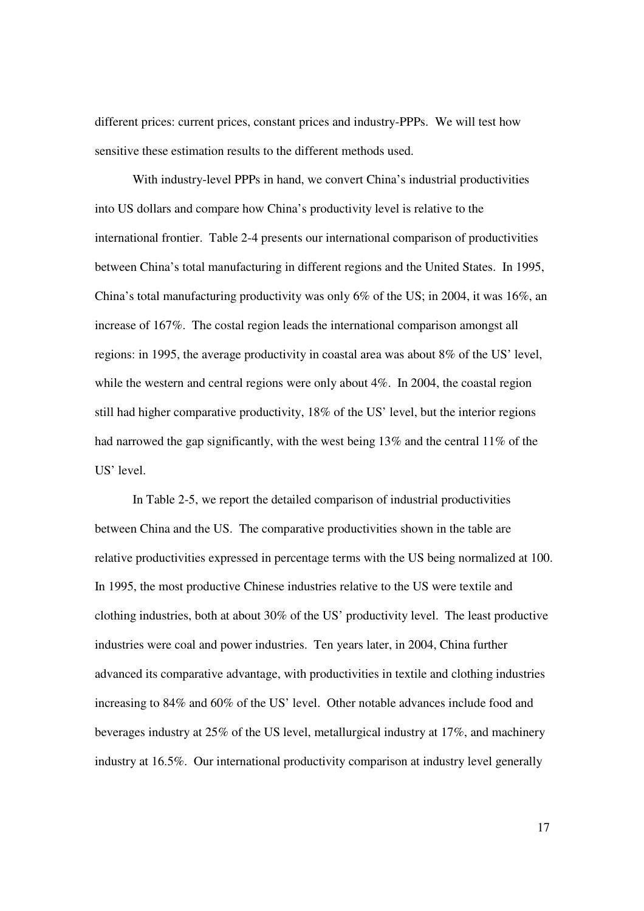different prices: current prices, constant prices and industry-PPPs. We will test how sensitive these estimation results to the different methods used.

 With industry-level PPPs in hand, we convert China's industrial productivities into US dollars and compare how China's productivity level is relative to the international frontier. Table 2-4 presents our international comparison of productivities between China's total manufacturing in different regions and the United States. In 1995, China's total manufacturing productivity was only 6% of the US; in 2004, it was 16%, an increase of 167%. The costal region leads the international comparison amongst all regions: in 1995, the average productivity in coastal area was about 8% of the US' level, while the western and central regions were only about 4%. In 2004, the coastal region still had higher comparative productivity, 18% of the US' level, but the interior regions had narrowed the gap significantly, with the west being 13% and the central 11% of the US' level.

 In Table 2-5, we report the detailed comparison of industrial productivities between China and the US. The comparative productivities shown in the table are relative productivities expressed in percentage terms with the US being normalized at 100. In 1995, the most productive Chinese industries relative to the US were textile and clothing industries, both at about 30% of the US' productivity level. The least productive industries were coal and power industries. Ten years later, in 2004, China further advanced its comparative advantage, with productivities in textile and clothing industries increasing to 84% and 60% of the US' level. Other notable advances include food and beverages industry at 25% of the US level, metallurgical industry at 17%, and machinery industry at 16.5%. Our international productivity comparison at industry level generally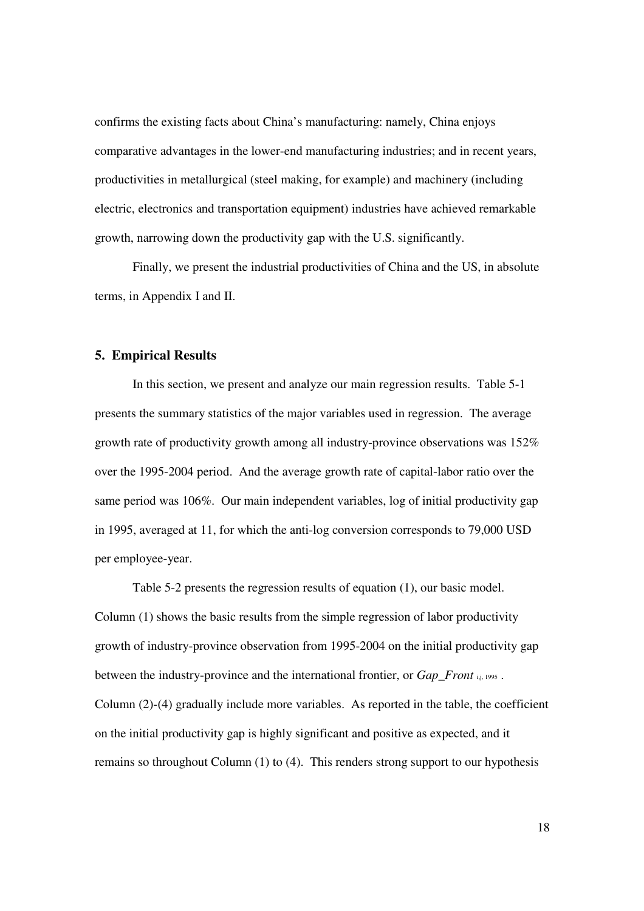confirms the existing facts about China's manufacturing: namely, China enjoys comparative advantages in the lower-end manufacturing industries; and in recent years, productivities in metallurgical (steel making, for example) and machinery (including electric, electronics and transportation equipment) industries have achieved remarkable growth, narrowing down the productivity gap with the U.S. significantly.

 Finally, we present the industrial productivities of China and the US, in absolute terms, in Appendix I and II.

# **5. Empirical Results**

In this section, we present and analyze our main regression results. Table 5-1 presents the summary statistics of the major variables used in regression. The average growth rate of productivity growth among all industry-province observations was 152% over the 1995-2004 period. And the average growth rate of capital-labor ratio over the same period was 106%. Our main independent variables, log of initial productivity gap in 1995, averaged at 11, for which the anti-log conversion corresponds to 79,000 USD per employee-year.

 Table 5-2 presents the regression results of equation (1), our basic model. Column (1) shows the basic results from the simple regression of labor productivity growth of industry-province observation from 1995-2004 on the initial productivity gap between the industry-province and the international frontier, or *Gap Front* i,j, 1995. Column (2)-(4) gradually include more variables. As reported in the table, the coefficient on the initial productivity gap is highly significant and positive as expected, and it remains so throughout Column (1) to (4). This renders strong support to our hypothesis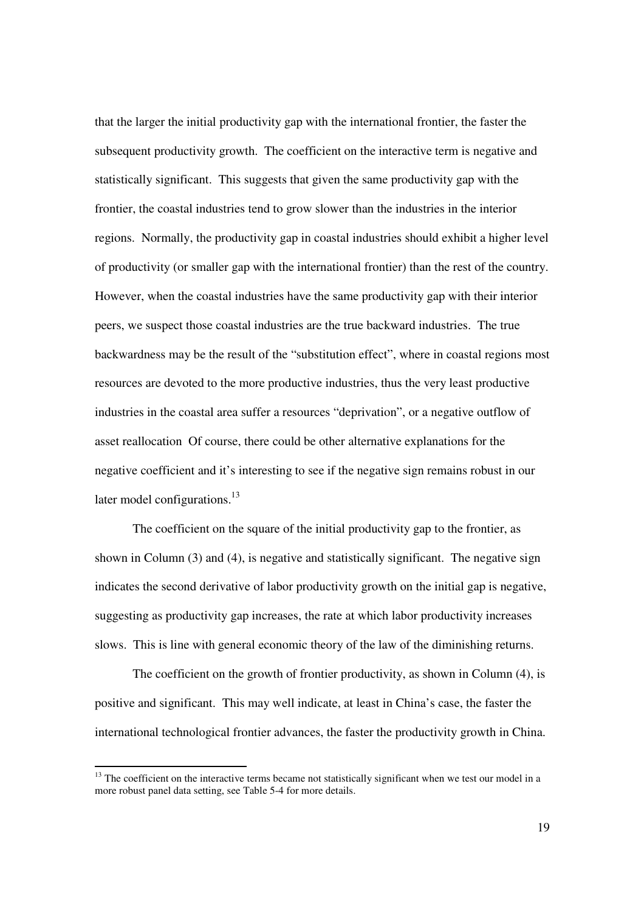that the larger the initial productivity gap with the international frontier, the faster the subsequent productivity growth. The coefficient on the interactive term is negative and statistically significant. This suggests that given the same productivity gap with the frontier, the coastal industries tend to grow slower than the industries in the interior regions. Normally, the productivity gap in coastal industries should exhibit a higher level of productivity (or smaller gap with the international frontier) than the rest of the country. However, when the coastal industries have the same productivity gap with their interior peers, we suspect those coastal industries are the true backward industries. The true backwardness may be the result of the "substitution effect", where in coastal regions most resources are devoted to the more productive industries, thus the very least productive industries in the coastal area suffer a resources "deprivation", or a negative outflow of asset reallocation Of course, there could be other alternative explanations for the negative coefficient and it's interesting to see if the negative sign remains robust in our later model configurations.<sup>13</sup>

 The coefficient on the square of the initial productivity gap to the frontier, as shown in Column (3) and (4), is negative and statistically significant. The negative sign indicates the second derivative of labor productivity growth on the initial gap is negative, suggesting as productivity gap increases, the rate at which labor productivity increases slows. This is line with general economic theory of the law of the diminishing returns.

 The coefficient on the growth of frontier productivity, as shown in Column (4), is positive and significant. This may well indicate, at least in China's case, the faster the international technological frontier advances, the faster the productivity growth in China.

-

 $13$  The coefficient on the interactive terms became not statistically significant when we test our model in a more robust panel data setting, see Table 5-4 for more details.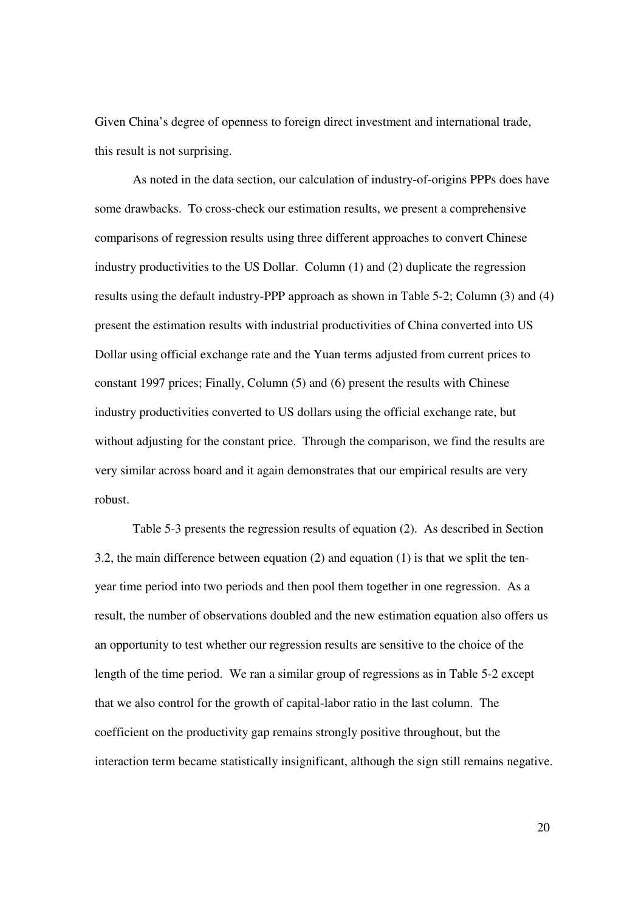Given China's degree of openness to foreign direct investment and international trade, this result is not surprising.

 As noted in the data section, our calculation of industry-of-origins PPPs does have some drawbacks. To cross-check our estimation results, we present a comprehensive comparisons of regression results using three different approaches to convert Chinese industry productivities to the US Dollar. Column (1) and (2) duplicate the regression results using the default industry-PPP approach as shown in Table 5-2; Column (3) and (4) present the estimation results with industrial productivities of China converted into US Dollar using official exchange rate and the Yuan terms adjusted from current prices to constant 1997 prices; Finally, Column (5) and (6) present the results with Chinese industry productivities converted to US dollars using the official exchange rate, but without adjusting for the constant price. Through the comparison, we find the results are very similar across board and it again demonstrates that our empirical results are very robust.

 Table 5-3 presents the regression results of equation (2). As described in Section 3.2, the main difference between equation (2) and equation (1) is that we split the tenyear time period into two periods and then pool them together in one regression. As a result, the number of observations doubled and the new estimation equation also offers us an opportunity to test whether our regression results are sensitive to the choice of the length of the time period. We ran a similar group of regressions as in Table 5-2 except that we also control for the growth of capital-labor ratio in the last column. The coefficient on the productivity gap remains strongly positive throughout, but the interaction term became statistically insignificant, although the sign still remains negative.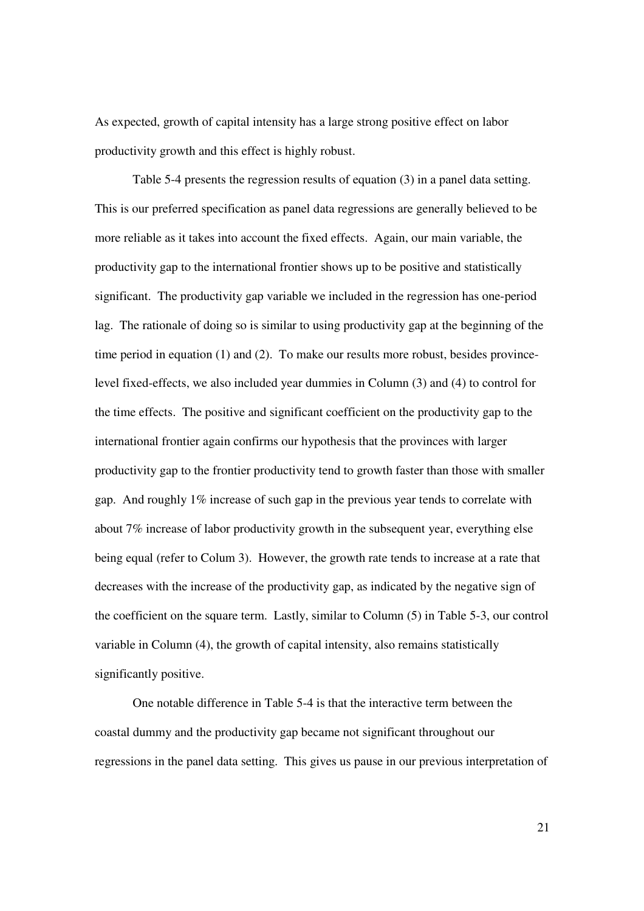As expected, growth of capital intensity has a large strong positive effect on labor productivity growth and this effect is highly robust.

 Table 5-4 presents the regression results of equation (3) in a panel data setting. This is our preferred specification as panel data regressions are generally believed to be more reliable as it takes into account the fixed effects. Again, our main variable, the productivity gap to the international frontier shows up to be positive and statistically significant. The productivity gap variable we included in the regression has one-period lag. The rationale of doing so is similar to using productivity gap at the beginning of the time period in equation  $(1)$  and  $(2)$ . To make our results more robust, besides provincelevel fixed-effects, we also included year dummies in Column (3) and (4) to control for the time effects. The positive and significant coefficient on the productivity gap to the international frontier again confirms our hypothesis that the provinces with larger productivity gap to the frontier productivity tend to growth faster than those with smaller gap. And roughly 1% increase of such gap in the previous year tends to correlate with about 7% increase of labor productivity growth in the subsequent year, everything else being equal (refer to Colum 3). However, the growth rate tends to increase at a rate that decreases with the increase of the productivity gap, as indicated by the negative sign of the coefficient on the square term. Lastly, similar to Column (5) in Table 5-3, our control variable in Column (4), the growth of capital intensity, also remains statistically significantly positive.

 One notable difference in Table 5-4 is that the interactive term between the coastal dummy and the productivity gap became not significant throughout our regressions in the panel data setting. This gives us pause in our previous interpretation of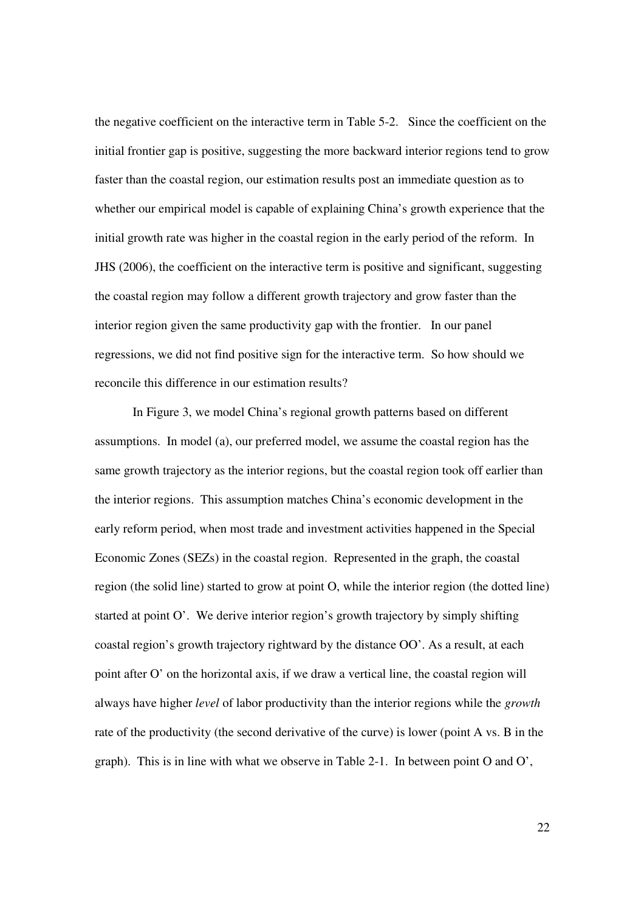the negative coefficient on the interactive term in Table 5-2. Since the coefficient on the initial frontier gap is positive, suggesting the more backward interior regions tend to grow faster than the coastal region, our estimation results post an immediate question as to whether our empirical model is capable of explaining China's growth experience that the initial growth rate was higher in the coastal region in the early period of the reform. In JHS (2006), the coefficient on the interactive term is positive and significant, suggesting the coastal region may follow a different growth trajectory and grow faster than the interior region given the same productivity gap with the frontier. In our panel regressions, we did not find positive sign for the interactive term. So how should we reconcile this difference in our estimation results?

 In Figure 3, we model China's regional growth patterns based on different assumptions. In model (a), our preferred model, we assume the coastal region has the same growth trajectory as the interior regions, but the coastal region took off earlier than the interior regions. This assumption matches China's economic development in the early reform period, when most trade and investment activities happened in the Special Economic Zones (SEZs) in the coastal region. Represented in the graph, the coastal region (the solid line) started to grow at point O, while the interior region (the dotted line) started at point O'. We derive interior region's growth trajectory by simply shifting coastal region's growth trajectory rightward by the distance OO'. As a result, at each point after O' on the horizontal axis, if we draw a vertical line, the coastal region will always have higher *level* of labor productivity than the interior regions while the *growth* rate of the productivity (the second derivative of the curve) is lower (point A vs. B in the graph). This is in line with what we observe in Table 2-1. In between point O and O',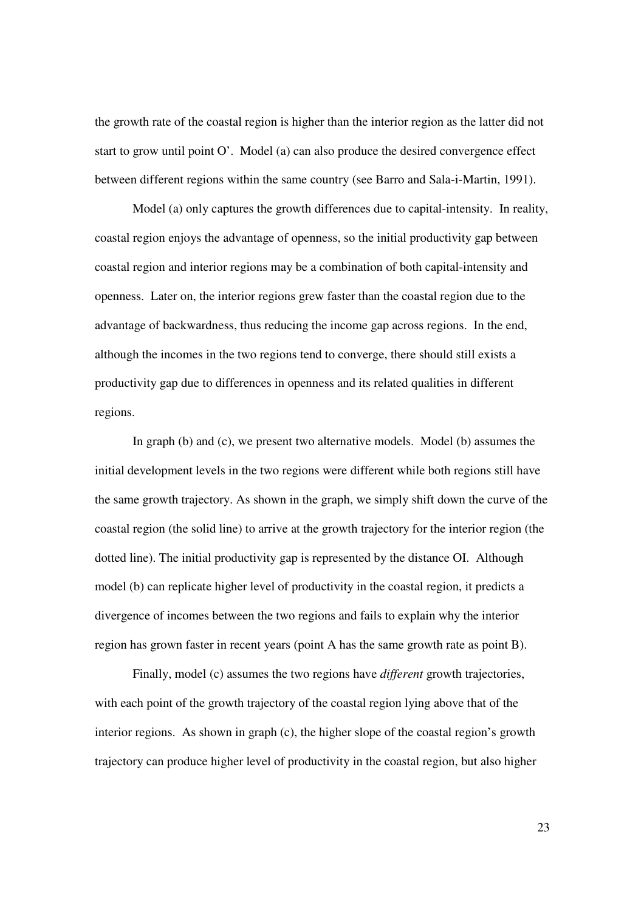the growth rate of the coastal region is higher than the interior region as the latter did not start to grow until point O'. Model (a) can also produce the desired convergence effect between different regions within the same country (see Barro and Sala-i-Martin, 1991).

 Model (a) only captures the growth differences due to capital-intensity. In reality, coastal region enjoys the advantage of openness, so the initial productivity gap between coastal region and interior regions may be a combination of both capital-intensity and openness. Later on, the interior regions grew faster than the coastal region due to the advantage of backwardness, thus reducing the income gap across regions. In the end, although the incomes in the two regions tend to converge, there should still exists a productivity gap due to differences in openness and its related qualities in different regions.

 In graph (b) and (c), we present two alternative models. Model (b) assumes the initial development levels in the two regions were different while both regions still have the same growth trajectory. As shown in the graph, we simply shift down the curve of the coastal region (the solid line) to arrive at the growth trajectory for the interior region (the dotted line). The initial productivity gap is represented by the distance OI. Although model (b) can replicate higher level of productivity in the coastal region, it predicts a divergence of incomes between the two regions and fails to explain why the interior region has grown faster in recent years (point A has the same growth rate as point B).

 Finally, model (c) assumes the two regions have *different* growth trajectories, with each point of the growth trajectory of the coastal region lying above that of the interior regions. As shown in graph (c), the higher slope of the coastal region's growth trajectory can produce higher level of productivity in the coastal region, but also higher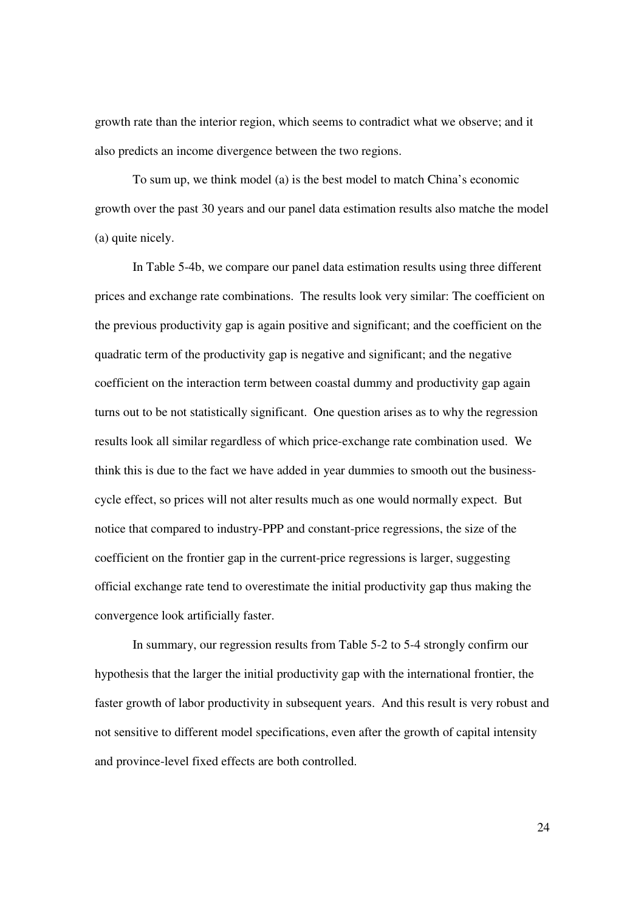growth rate than the interior region, which seems to contradict what we observe; and it also predicts an income divergence between the two regions.

 To sum up, we think model (a) is the best model to match China's economic growth over the past 30 years and our panel data estimation results also matche the model (a) quite nicely.

 In Table 5-4b, we compare our panel data estimation results using three different prices and exchange rate combinations. The results look very similar: The coefficient on the previous productivity gap is again positive and significant; and the coefficient on the quadratic term of the productivity gap is negative and significant; and the negative coefficient on the interaction term between coastal dummy and productivity gap again turns out to be not statistically significant. One question arises as to why the regression results look all similar regardless of which price-exchange rate combination used. We think this is due to the fact we have added in year dummies to smooth out the businesscycle effect, so prices will not alter results much as one would normally expect. But notice that compared to industry-PPP and constant-price regressions, the size of the coefficient on the frontier gap in the current-price regressions is larger, suggesting official exchange rate tend to overestimate the initial productivity gap thus making the convergence look artificially faster.

 In summary, our regression results from Table 5-2 to 5-4 strongly confirm our hypothesis that the larger the initial productivity gap with the international frontier, the faster growth of labor productivity in subsequent years. And this result is very robust and not sensitive to different model specifications, even after the growth of capital intensity and province-level fixed effects are both controlled.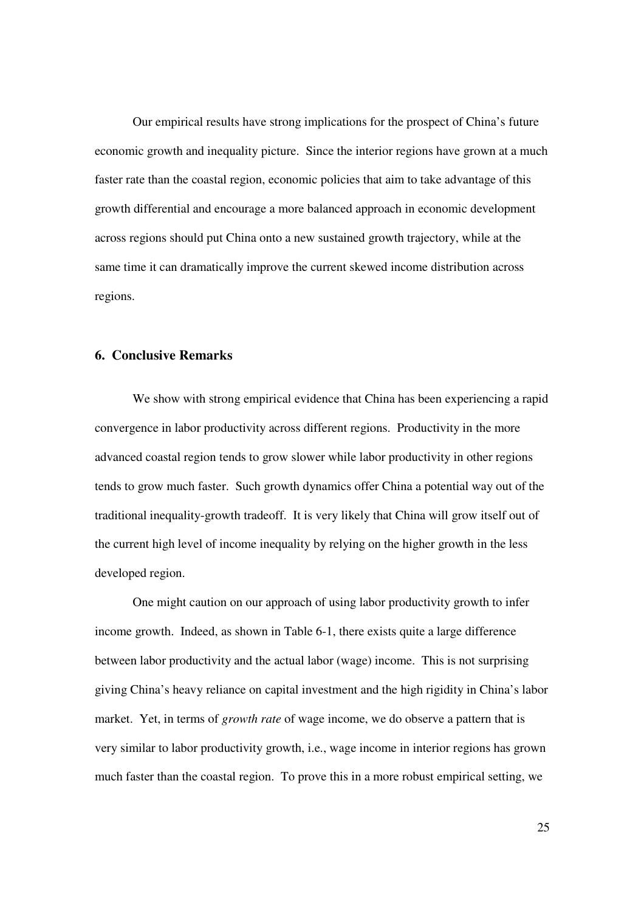Our empirical results have strong implications for the prospect of China's future economic growth and inequality picture. Since the interior regions have grown at a much faster rate than the coastal region, economic policies that aim to take advantage of this growth differential and encourage a more balanced approach in economic development across regions should put China onto a new sustained growth trajectory, while at the same time it can dramatically improve the current skewed income distribution across regions.

## **6. Conclusive Remarks**

We show with strong empirical evidence that China has been experiencing a rapid convergence in labor productivity across different regions. Productivity in the more advanced coastal region tends to grow slower while labor productivity in other regions tends to grow much faster. Such growth dynamics offer China a potential way out of the traditional inequality-growth tradeoff. It is very likely that China will grow itself out of the current high level of income inequality by relying on the higher growth in the less developed region.

 One might caution on our approach of using labor productivity growth to infer income growth. Indeed, as shown in Table 6-1, there exists quite a large difference between labor productivity and the actual labor (wage) income. This is not surprising giving China's heavy reliance on capital investment and the high rigidity in China's labor market. Yet, in terms of *growth rate* of wage income, we do observe a pattern that is very similar to labor productivity growth, i.e., wage income in interior regions has grown much faster than the coastal region. To prove this in a more robust empirical setting, we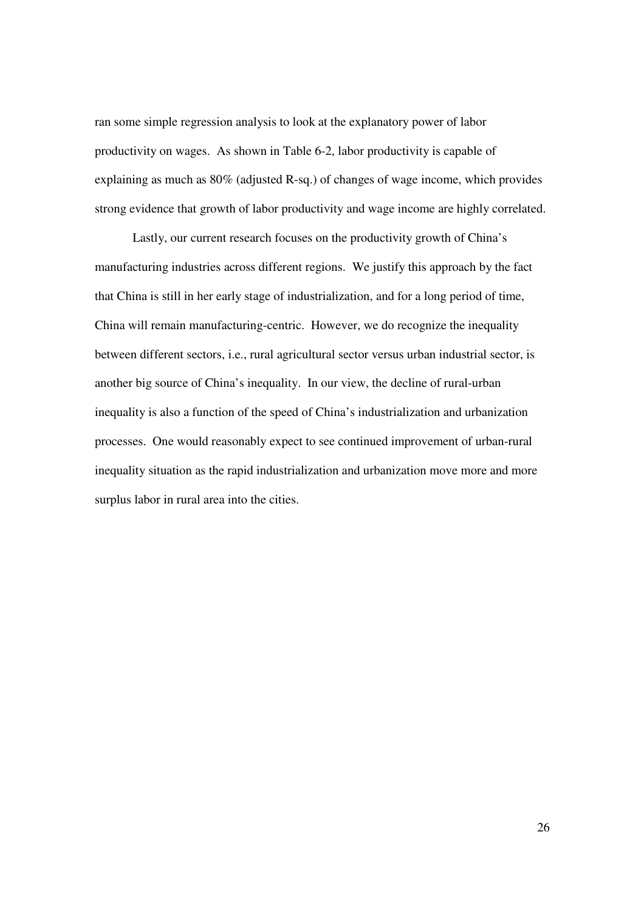ran some simple regression analysis to look at the explanatory power of labor productivity on wages. As shown in Table 6-2, labor productivity is capable of explaining as much as 80% (adjusted R-sq.) of changes of wage income, which provides strong evidence that growth of labor productivity and wage income are highly correlated.

 Lastly, our current research focuses on the productivity growth of China's manufacturing industries across different regions. We justify this approach by the fact that China is still in her early stage of industrialization, and for a long period of time, China will remain manufacturing-centric. However, we do recognize the inequality between different sectors, i.e., rural agricultural sector versus urban industrial sector, is another big source of China's inequality. In our view, the decline of rural-urban inequality is also a function of the speed of China's industrialization and urbanization processes. One would reasonably expect to see continued improvement of urban-rural inequality situation as the rapid industrialization and urbanization move more and more surplus labor in rural area into the cities.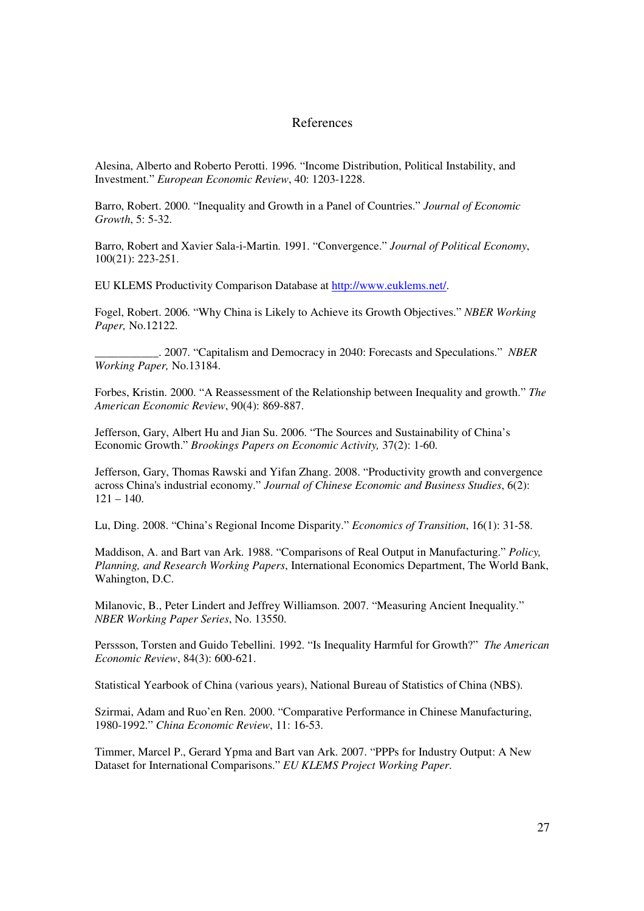# References

Alesina, Alberto and Roberto Perotti. 1996. "Income Distribution, Political Instability, and Investment." *European Economic Review*, 40: 1203-1228.

Barro, Robert. 2000. "Inequality and Growth in a Panel of Countries." *Journal of Economic Growth*, 5: 5-32.

Barro, Robert and Xavier Sala-i-Martin. 1991. "Convergence." *Journal of Political Economy*, 100(21): 223-251.

EU KLEMS Productivity Comparison Database at http://www.euklems.net/.

Fogel, Robert. 2006. "Why China is Likely to Achieve its Growth Objectives." *NBER Working Paper,* No.12122.

\_\_\_\_\_\_\_\_\_\_\_. 2007. "Capitalism and Democracy in 2040: Forecasts and Speculations." *NBER Working Paper,* No.13184.

Forbes, Kristin. 2000. "A Reassessment of the Relationship between Inequality and growth." *The American Economic Review*, 90(4): 869-887.

Jefferson, Gary, Albert Hu and Jian Su. 2006. "The Sources and Sustainability of China's Economic Growth." *Brookings Papers on Economic Activity,* 37(2): 1-60.

Jefferson, Gary, Thomas Rawski and Yifan Zhang. 2008. "Productivity growth and convergence across China's industrial economy." *Journal of Chinese Economic and Business Studies*, 6(2):  $121 - 140.$ 

Lu, Ding. 2008. "China's Regional Income Disparity." *Economics of Transition*, 16(1): 31-58.

Maddison, A. and Bart van Ark. 1988. "Comparisons of Real Output in Manufacturing." *Policy, Planning, and Research Working Papers*, International Economics Department, The World Bank, Wahington, D.C.

Milanovic, B., Peter Lindert and Jeffrey Williamson. 2007. "Measuring Ancient Inequality." *NBER Working Paper Series*, No. 13550.

Perssson, Torsten and Guido Tebellini. 1992. "Is Inequality Harmful for Growth?" *The American Economic Review*, 84(3): 600-621.

Statistical Yearbook of China (various years), National Bureau of Statistics of China (NBS).

Szirmai, Adam and Ruo'en Ren. 2000. "Comparative Performance in Chinese Manufacturing, 1980-1992." *China Economic Review*, 11: 16-53.

Timmer, Marcel P., Gerard Ypma and Bart van Ark. 2007. "PPPs for Industry Output: A New Dataset for International Comparisons." *EU KLEMS Project Working Paper*.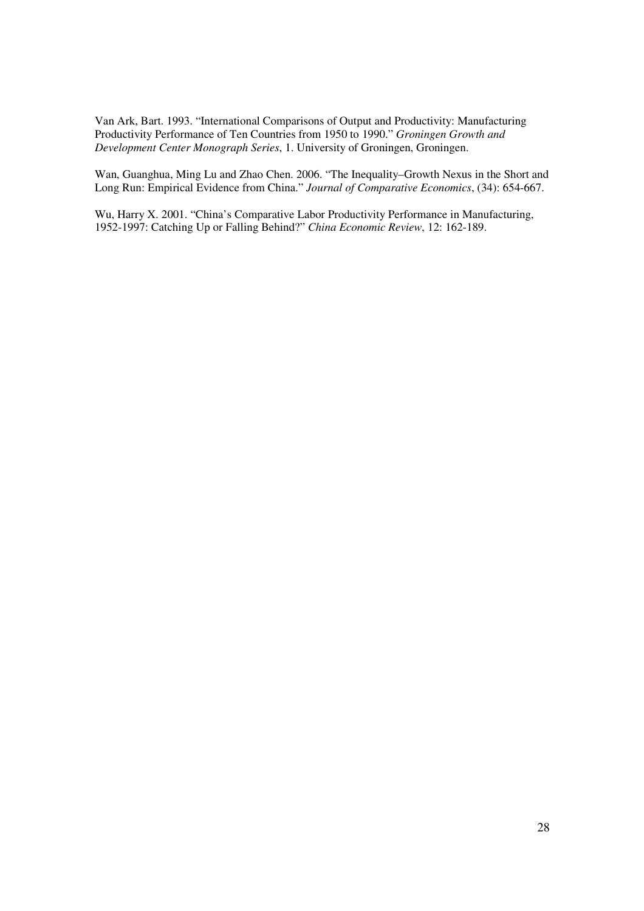Van Ark, Bart. 1993. "International Comparisons of Output and Productivity: Manufacturing Productivity Performance of Ten Countries from 1950 to 1990." *Groningen Growth and Development Center Monograph Series*, 1. University of Groningen, Groningen.

Wan, Guanghua, Ming Lu and Zhao Chen. 2006. "The Inequality–Growth Nexus in the Short and Long Run: Empirical Evidence from China." *Journal of Comparative Economics*, (34): 654-667.

Wu, Harry X. 2001. "China's Comparative Labor Productivity Performance in Manufacturing, 1952-1997: Catching Up or Falling Behind?" *China Economic Review*, 12: 162-189.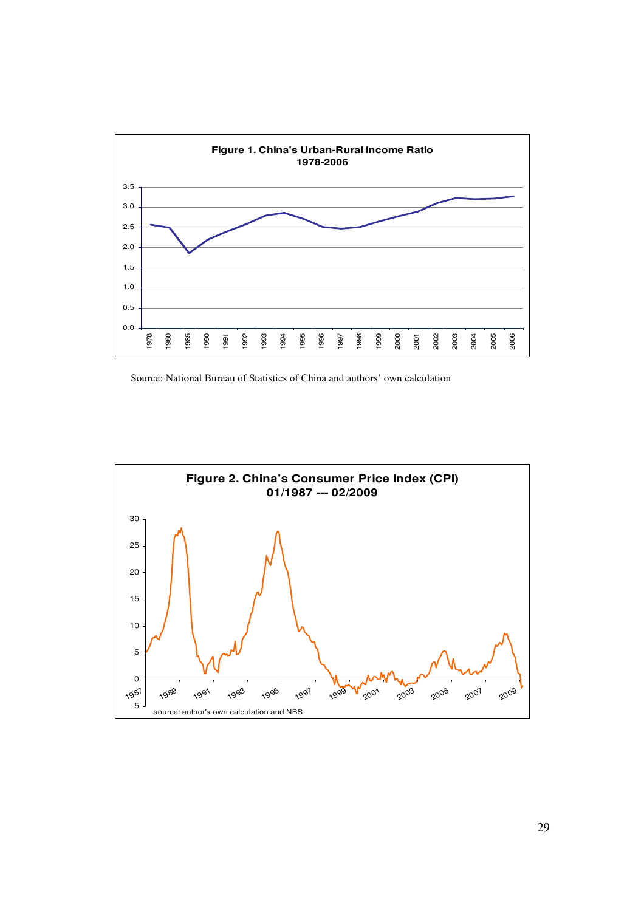

Source: National Bureau of Statistics of China and authors' own calculation

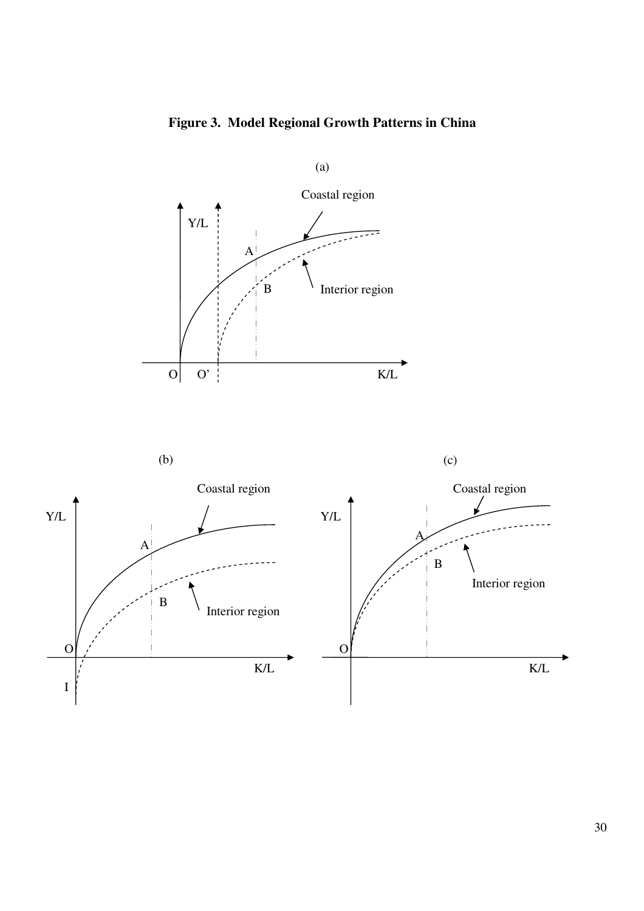**Figure 3. Model Regional Growth Patterns in China** 

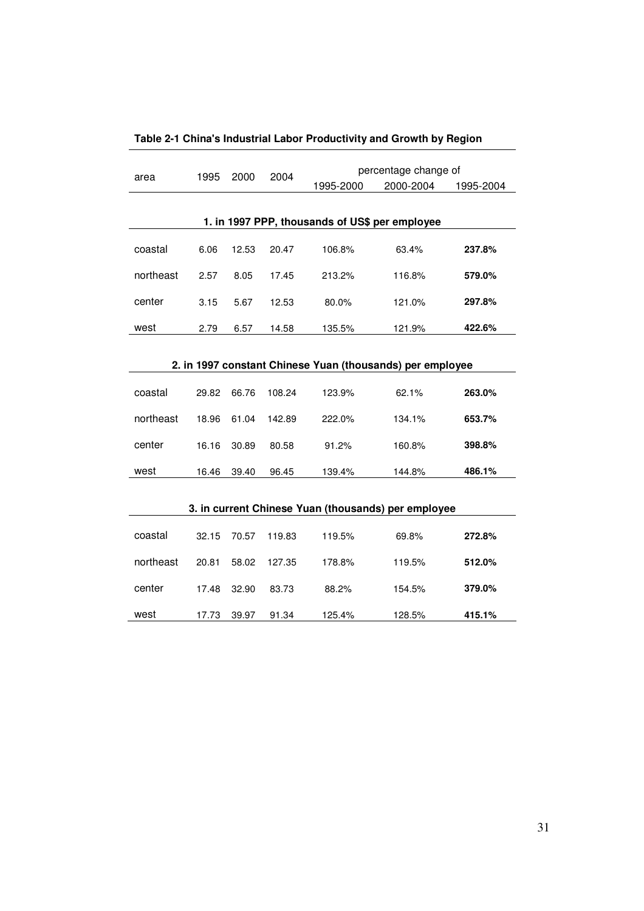|                                                           | 1995  | 2000  | 2004   |           | percentage change of                                |           |  |  |  |  |
|-----------------------------------------------------------|-------|-------|--------|-----------|-----------------------------------------------------|-----------|--|--|--|--|
| area                                                      |       |       |        | 1995-2000 | 2000-2004                                           | 1995-2004 |  |  |  |  |
|                                                           |       |       |        |           |                                                     |           |  |  |  |  |
| 1. in 1997 PPP, thousands of US\$ per employee            |       |       |        |           |                                                     |           |  |  |  |  |
| coastal                                                   | 6.06  | 12.53 | 20.47  | 106.8%    | 63.4%                                               | 237.8%    |  |  |  |  |
| northeast                                                 | 2.57  | 8.05  | 17.45  | 213.2%    | 116.8%                                              | 579.0%    |  |  |  |  |
| center                                                    | 3.15  | 5.67  | 12.53  | 80.0%     | 121.0%                                              | 297.8%    |  |  |  |  |
| west                                                      | 2.79  | 6.57  | 14.58  | 135.5%    | 121.9%                                              | 422.6%    |  |  |  |  |
|                                                           |       |       |        |           |                                                     |           |  |  |  |  |
| 2. in 1997 constant Chinese Yuan (thousands) per employee |       |       |        |           |                                                     |           |  |  |  |  |
| coastal                                                   | 29.82 | 66.76 | 108.24 | 123.9%    | 62.1%                                               | 263.0%    |  |  |  |  |
| northeast                                                 | 18.96 | 61.04 | 142.89 | 222.0%    | 134.1%                                              | 653.7%    |  |  |  |  |
| center                                                    | 16.16 | 30.89 | 80.58  | 91.2%     | 160.8%                                              | 398.8%    |  |  |  |  |
| west                                                      | 16.46 | 39.40 | 96.45  | 139.4%    | 144.8%                                              | 486.1%    |  |  |  |  |
|                                                           |       |       |        |           |                                                     |           |  |  |  |  |
|                                                           |       |       |        |           | 3. in current Chinese Yuan (thousands) per employee |           |  |  |  |  |
| coastal                                                   | 32.15 | 70.57 | 119.83 | 119.5%    | 69.8%                                               | 272.8%    |  |  |  |  |
| northeast                                                 | 20.81 | 58.02 | 127.35 | 178.8%    | 119.5%                                              | 512.0%    |  |  |  |  |
| center                                                    | 17.48 | 32.90 | 83.73  | 88.2%     | 154.5%                                              | 379.0%    |  |  |  |  |
| west                                                      | 17.73 | 39.97 | 91.34  | 125.4%    | 128.5%                                              | 415.1%    |  |  |  |  |

**Table 2-1 China's Industrial Labor Productivity and Growth by Region**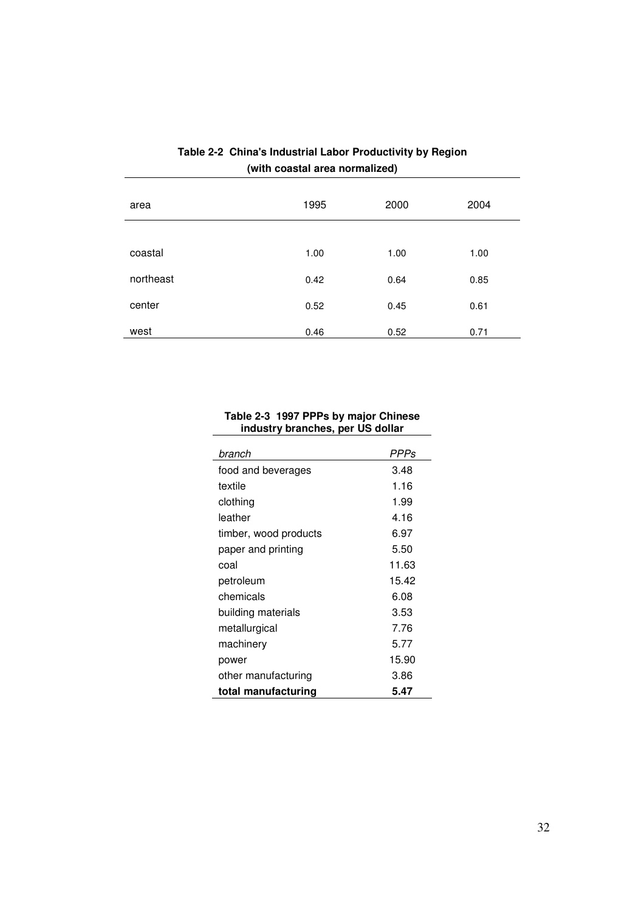| area      | 1995 | 2000 | 2004 |
|-----------|------|------|------|
|           |      |      |      |
| coastal   | 1.00 | 1.00 | 1.00 |
| northeast | 0.42 | 0.64 | 0.85 |
| center    | 0.52 | 0.45 | 0.61 |
| west      | 0.46 | 0.52 | 0.71 |

# **Table 2-2 China's Industrial Labor Productivity by Region (with coastal area normalized)**

#### **Table 2-3 1997 PPPs by major Chinese industry branches, per US dollar**

| branch                | <b>PPPs</b> |
|-----------------------|-------------|
| food and beverages    | 3.48        |
| textile               | 1.16        |
| clothing              | 1.99        |
| leather               | 4.16        |
| timber, wood products | 6.97        |
| paper and printing    | 5.50        |
| coal                  | 11.63       |
| petroleum             | 15.42       |
| chemicals             | 6.08        |
| building materials    | 3.53        |
| metallurgical         | 7.76        |
| machinery             | 5.77        |
| power                 | 15.90       |
| other manufacturing   | 3.86        |
| total manufacturing   | 5.47        |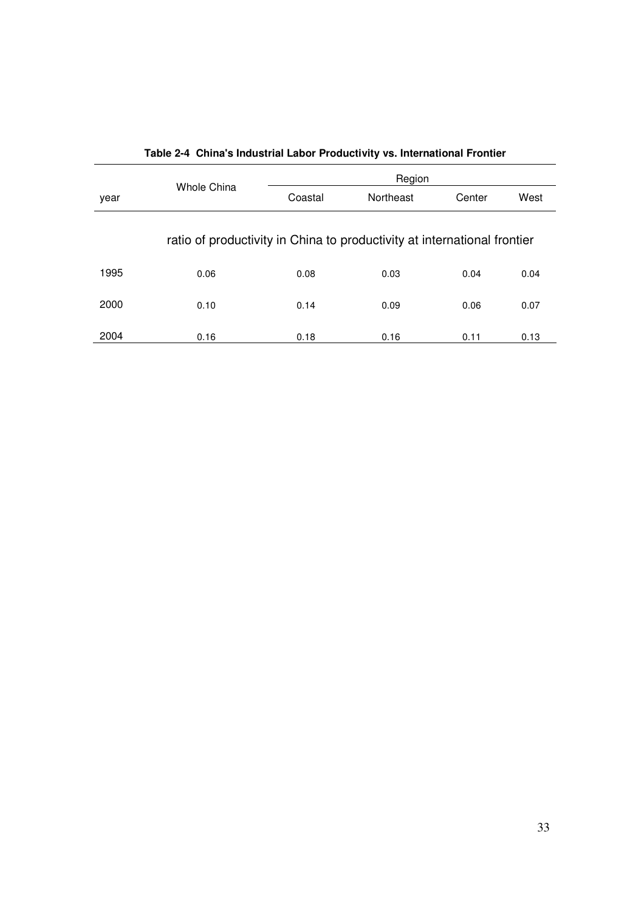|      |                                                                          |         | Region    |        |      |
|------|--------------------------------------------------------------------------|---------|-----------|--------|------|
| year | Whole China                                                              | Coastal | Northeast | Center | West |
|      | ratio of productivity in China to productivity at international frontier |         |           |        |      |
| 1995 | 0.06                                                                     | 0.08    | 0.03      | 0.04   | 0.04 |
| 2000 | 0.10                                                                     | 0.14    | 0.09      | 0.06   | 0.07 |
| 2004 | 0.16                                                                     | 0.18    | 0.16      | 0.11   | 0.13 |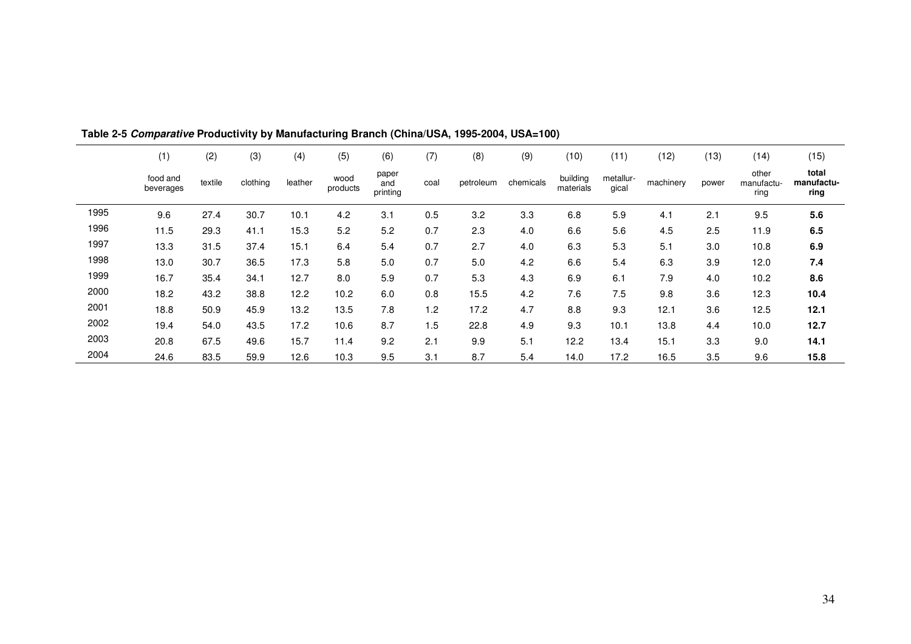|      | (1)                   | (2)     | (3)      | (4)     | (5)              | (6)                      | (7)  | (8)       | (9)       | (10)                  | (11)               | (12)      | (13)  | (14)                        | (15)                        |
|------|-----------------------|---------|----------|---------|------------------|--------------------------|------|-----------|-----------|-----------------------|--------------------|-----------|-------|-----------------------------|-----------------------------|
|      | food and<br>beverages | textile | clothing | leather | wood<br>products | paper<br>and<br>printing | coal | petroleum | chemicals | building<br>materials | metallur-<br>gical | machinery | power | other<br>manufactu-<br>ring | total<br>manufactu-<br>ring |
| 1995 | 9.6                   | 27.4    | 30.7     | 10.1    | 4.2              | 3.1                      | 0.5  | 3.2       | 3.3       | 6.8                   | 5.9                | 4.1       | 2.1   | 9.5                         | 5.6                         |
| 1996 | 11.5                  | 29.3    | 41.1     | 15.3    | 5.2              | 5.2                      | 0.7  | 2.3       | 4.0       | 6.6                   | 5.6                | 4.5       | 2.5   | 11.9                        | 6.5                         |
| 1997 | 13.3                  | 31.5    | 37.4     | 15.1    | 6.4              | 5.4                      | 0.7  | 2.7       | 4.0       | 6.3                   | 5.3                | 5.1       | 3.0   | 10.8                        | 6.9                         |
| 1998 | 13.0                  | 30.7    | 36.5     | 17.3    | 5.8              | 5.0                      | 0.7  | 5.0       | 4.2       | 6.6                   | 5.4                | 6.3       | 3.9   | 12.0                        | 7.4                         |
| 1999 | 16.7                  | 35.4    | 34.1     | 12.7    | 8.0              | 5.9                      | 0.7  | 5.3       | 4.3       | 6.9                   | 6.1                | 7.9       | 4.0   | 10.2                        | 8.6                         |
| 2000 | 18.2                  | 43.2    | 38.8     | 12.2    | 10.2             | 6.0                      | 0.8  | 15.5      | 4.2       | 7.6                   | 7.5                | 9.8       | 3.6   | 12.3                        | 10.4                        |
| 2001 | 18.8                  | 50.9    | 45.9     | 13.2    | 13.5             | 7.8                      | 1.2  | 17.2      | 4.7       | 8.8                   | 9.3                | 12.1      | 3.6   | 12.5                        | 12.1                        |
| 2002 | 19.4                  | 54.0    | 43.5     | 17.2    | 10.6             | 8.7                      | 1.5  | 22.8      | 4.9       | 9.3                   | 10.1               | 13.8      | 4.4   | 10.0                        | 12.7                        |
| 2003 | 20.8                  | 67.5    | 49.6     | 15.7    | 11.4             | 9.2                      | 2.1  | 9.9       | 5.1       | 12.2                  | 13.4               | 15.1      | 3.3   | 9.0                         | 14.1                        |
| 2004 | 24.6                  | 83.5    | 59.9     | 12.6    | 10.3             | 9.5                      | 3.1  | 8.7       | 5.4       | 14.0                  | 17.2               | 16.5      | 3.5   | 9.6                         | 15.8                        |

**Table 2-5 Comparative Productivity by Manufacturing Branch (China/USA, 1995-2004, USA=100)**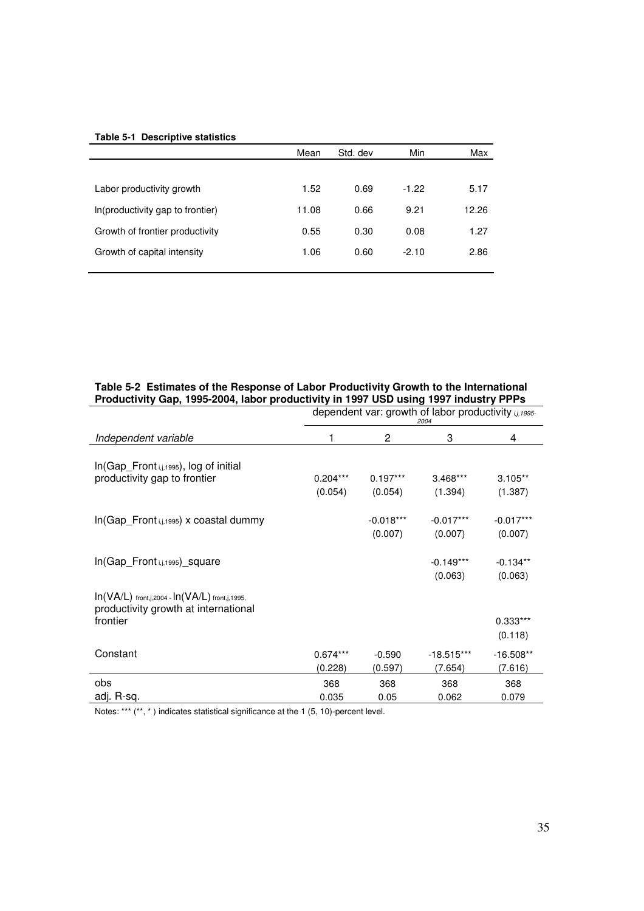#### **Table 5-1 Descriptive statistics**

|                                  | Mean  | Std. dev | Min     | Max   |
|----------------------------------|-------|----------|---------|-------|
|                                  |       |          |         |       |
| Labor productivity growth        | 1.52  | 0.69     | $-1.22$ | 5.17  |
| In(productivity gap to frontier) | 11.08 | 0.66     | 9.21    | 12.26 |
| Growth of frontier productivity  | 0.55  | 0.30     | 0.08    | 1.27  |
| Growth of capital intensity      | 1.06  | 0.60     | $-2.10$ | 2.86  |
|                                  |       |          |         |       |

| Productivity Gap, 1995-2004, labor productivity in 1997 USD using 1997 industry PPPs       |                                                               |             |                        |                       |  |  |  |
|--------------------------------------------------------------------------------------------|---------------------------------------------------------------|-------------|------------------------|-----------------------|--|--|--|
|                                                                                            | dependent var: growth of labor productivity i,j,1995-<br>2004 |             |                        |                       |  |  |  |
| Independent variable                                                                       |                                                               | 2           | 3                      | 4                     |  |  |  |
| In(Gap_Front i,j,1995), log of initial                                                     | $0.204***$                                                    | $0.197***$  | $3.468***$             | $3.105**$             |  |  |  |
| productivity gap to frontier                                                               | (0.054)                                                       | (0.054)     | (1.394)                | (1.387)               |  |  |  |
| In(Gap_Front i,j,1995) x coastal dummy                                                     |                                                               | $-0.018***$ | $-0.017***$            | $-0.017***$           |  |  |  |
|                                                                                            |                                                               | (0.007)     | (0.007)                | (0.007)               |  |  |  |
| In(Gap_Front i,j,1995)_square                                                              |                                                               |             | $-0.149***$<br>(0.063) | $-0.134**$<br>(0.063) |  |  |  |
| $In(VA/L)$ front,j,2004 - $In(VA/L)$ front,j,1995,<br>productivity growth at international |                                                               |             |                        |                       |  |  |  |
| frontier                                                                                   |                                                               |             |                        | $0.333***$            |  |  |  |
|                                                                                            |                                                               |             |                        | (0.118)               |  |  |  |
| Constant                                                                                   | $0.674***$                                                    | $-0.590$    | $-18.515***$           | $-16.508**$           |  |  |  |
|                                                                                            | (0.228)                                                       | (0.597)     | (7.654)                | (7.616)               |  |  |  |
| obs                                                                                        | 368                                                           | 368         | 368                    | 368                   |  |  |  |
| adj. R-sq.                                                                                 | 0.035                                                         | 0.05        | 0.062                  | 0.079                 |  |  |  |

#### **Table 5-2 Estimates of the Response of Labor Productivity Growth to the International Productivity Gap, 1995-2004, labor productivity in 1997 USD using 1997 industry PPPs**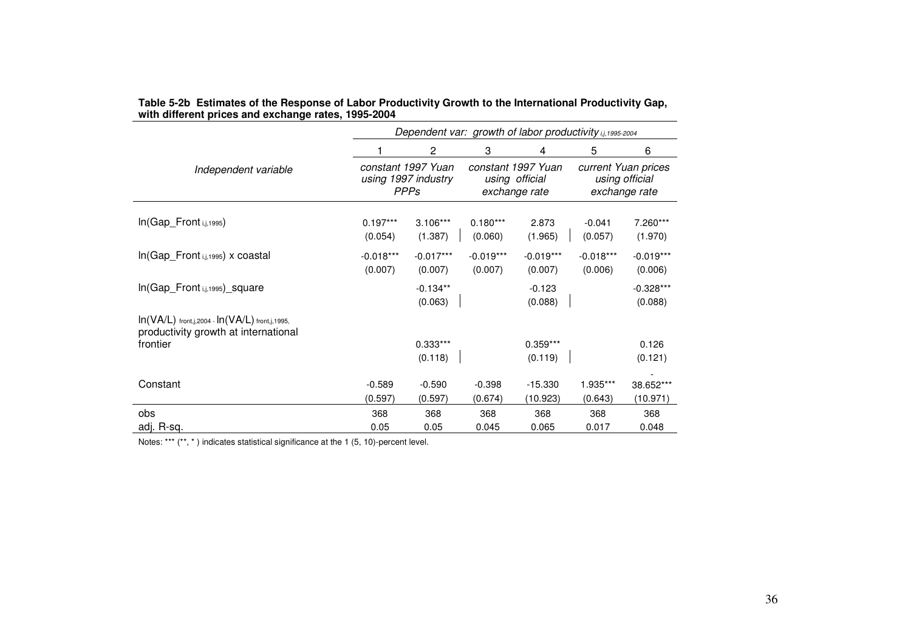|                                                                                            | Dependent var: growth of labor productivity i,j, 1995-2004 |                        |                        |                                                       |                                                        |                        |  |  |
|--------------------------------------------------------------------------------------------|------------------------------------------------------------|------------------------|------------------------|-------------------------------------------------------|--------------------------------------------------------|------------------------|--|--|
|                                                                                            |                                                            | 2                      | 3                      | 4                                                     | 5                                                      | 6                      |  |  |
| Independent variable                                                                       | constant 1997 Yuan<br>using 1997 industry<br><b>PPPs</b>   |                        |                        | constant 1997 Yuan<br>using official<br>exchange rate | current Yuan prices<br>using official<br>exchange rate |                        |  |  |
| In(Gap_Front i,j,1995)                                                                     | $0.197***$<br>(0.054)                                      | $3.106***$<br>(1.387)  | $0.180***$<br>(0.060)  | 2.873<br>(1.965)                                      | $-0.041$<br>(0.057)                                    | 7.260***<br>(1.970)    |  |  |
| In(Gap_Front i,j,1995) x coastal                                                           | $-0.018***$<br>(0.007)                                     | $-0.017***$<br>(0.007) | $-0.019***$<br>(0.007) | $-0.019***$<br>(0.007)                                | $-0.018***$<br>(0.006)                                 | $-0.019***$<br>(0.006) |  |  |
| In(Gap_Front i,j,1995)_square                                                              |                                                            | $-0.134**$<br>(0.063)  |                        | $-0.123$<br>(0.088)                                   |                                                        | $-0.328***$<br>(0.088) |  |  |
| $In(VA/L)$ front,j,2004 - $In(VA/L)$ front,j,1995,<br>productivity growth at international |                                                            |                        |                        |                                                       |                                                        |                        |  |  |
| frontier                                                                                   |                                                            | $0.333***$<br>(0.118)  |                        | $0.359***$<br>(0.119)                                 |                                                        | 0.126<br>(0.121)       |  |  |
| Constant                                                                                   | $-0.589$<br>(0.597)                                        | $-0.590$<br>(0.597)    | $-0.398$<br>(0.674)    | $-15.330$<br>(10.923)                                 | 1.935***<br>(0.643)                                    | 38.652***<br>(10.971)  |  |  |
| obs                                                                                        | 368                                                        | 368                    | 368                    | 368                                                   | 368                                                    | 368                    |  |  |
| adj. R-sq.                                                                                 | 0.05                                                       | 0.05                   | 0.045                  | 0.065                                                 | 0.017                                                  | 0.048                  |  |  |

# **Table 5-2b Estimates of the Response of Labor Productivity Growth to the International Productivity Gap, with different prices and exchange rates, 1995-2004**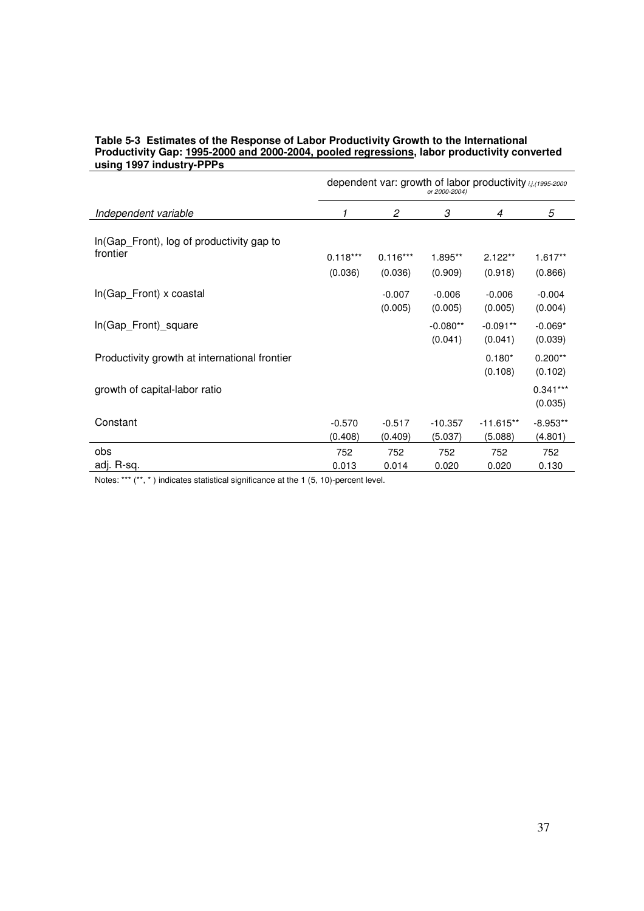#### **Table 5-3 Estimates of the Response of Labor Productivity Growth to the International Productivity Gap: 1995-2000 and 2000-2004, pooled regressions, labor productivity converted using 1997 industry-PPPs**

|                                                        | dependent var: growth of labor productivity i.j. (1995-2000)<br>or 2000-2004) |            |            |             |            |  |  |
|--------------------------------------------------------|-------------------------------------------------------------------------------|------------|------------|-------------|------------|--|--|
| Independent variable                                   | 1                                                                             | 2          | 3          | 4           | 5          |  |  |
| In (Gap_Front), log of productivity gap to<br>frontier |                                                                               |            |            |             |            |  |  |
|                                                        | $0.118***$                                                                    | $0.116***$ | 1.895**    | $2.122**$   | $1.617**$  |  |  |
|                                                        | (0.036)                                                                       | (0.036)    | (0.909)    | (0.918)     | (0.866)    |  |  |
| In(Gap_Front) x coastal                                |                                                                               | $-0.007$   | $-0.006$   | $-0.006$    | $-0.004$   |  |  |
|                                                        |                                                                               | (0.005)    | (0.005)    | (0.005)     | (0.004)    |  |  |
| In(Gap_Front)_square                                   |                                                                               |            | $-0.080**$ | $-0.091**$  | $-0.069*$  |  |  |
|                                                        |                                                                               |            | (0.041)    | (0.041)     | (0.039)    |  |  |
| Productivity growth at international frontier          |                                                                               |            |            | $0.180*$    | $0.200**$  |  |  |
|                                                        |                                                                               |            |            | (0.108)     | (0.102)    |  |  |
| growth of capital-labor ratio                          |                                                                               |            |            |             | $0.341***$ |  |  |
|                                                        |                                                                               |            |            |             | (0.035)    |  |  |
|                                                        |                                                                               |            |            |             |            |  |  |
| Constant                                               | $-0.570$                                                                      | $-0.517$   | $-10.357$  | $-11.615**$ | $-8.953**$ |  |  |
|                                                        | (0.408)                                                                       | (0.409)    | (5.037)    | (5.088)     | (4.801)    |  |  |
| obs                                                    | 752                                                                           | 752        | 752        | 752         | 752        |  |  |
| adj. R-sq.                                             | 0.013                                                                         | 0.014      | 0.020      | 0.020       | 0.130      |  |  |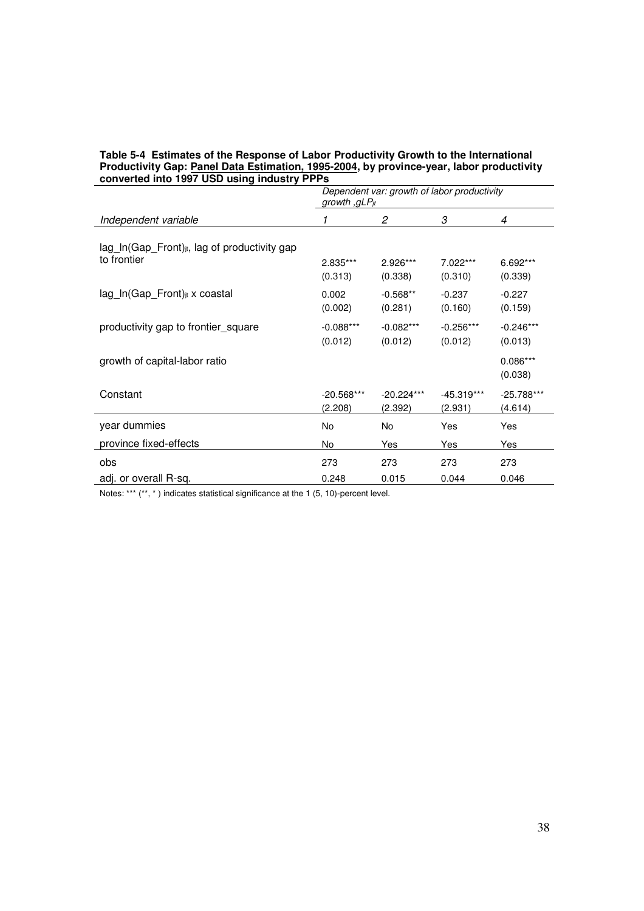### **Table 5-4 Estimates of the Response of Labor Productivity Growth to the International Productivity Gap: Panel Data Estimation, 1995-2004, by province-year, labor productivity converted into 1997 USD using industry PPPs**

|                                                           | growth , gLPjt | Dependent var: growth of labor productivity |              |                       |  |
|-----------------------------------------------------------|----------------|---------------------------------------------|--------------|-----------------------|--|
| Independent variable                                      | 1              | 2                                           | 3            | 4                     |  |
| lag_In(Gap_Front) <sub>jt</sub> , lag of productivity gap | 2.835***       | 2.926***                                    | 7.022***     | 6.692***              |  |
| to frontier                                               | (0.313)        | (0.338)                                     | (0.310)      | (0.339)               |  |
| lag_ln(Gap_Front) <sub>jt</sub> x coastal                 | 0.002          | $-0.568**$                                  | $-0.237$     | $-0.227$              |  |
|                                                           | (0.002)        | (0.281)                                     | (0.160)      | (0.159)               |  |
| productivity gap to frontier_square                       | $-0.088***$    | $-0.082***$                                 | $-0.256***$  | $-0.246***$           |  |
|                                                           | (0.012)        | (0.012)                                     | (0.012)      | (0.013)               |  |
| growth of capital-labor ratio                             |                |                                             |              | $0.086***$<br>(0.038) |  |
| Constant                                                  | $-20.568***$   | $-20.224***$                                | $-45.319***$ | -25.788***            |  |
|                                                           | (2.208)        | (2.392)                                     | (2.931)      | (4.614)               |  |
| year dummies                                              | No             | No                                          | Yes          | Yes                   |  |
| province fixed-effects                                    | No             | Yes                                         | Yes          | Yes                   |  |
| obs                                                       | 273            | 273                                         | 273          | 273                   |  |
| adj. or overall R-sq.                                     | 0.248          | 0.015                                       | 0.044        | 0.046                 |  |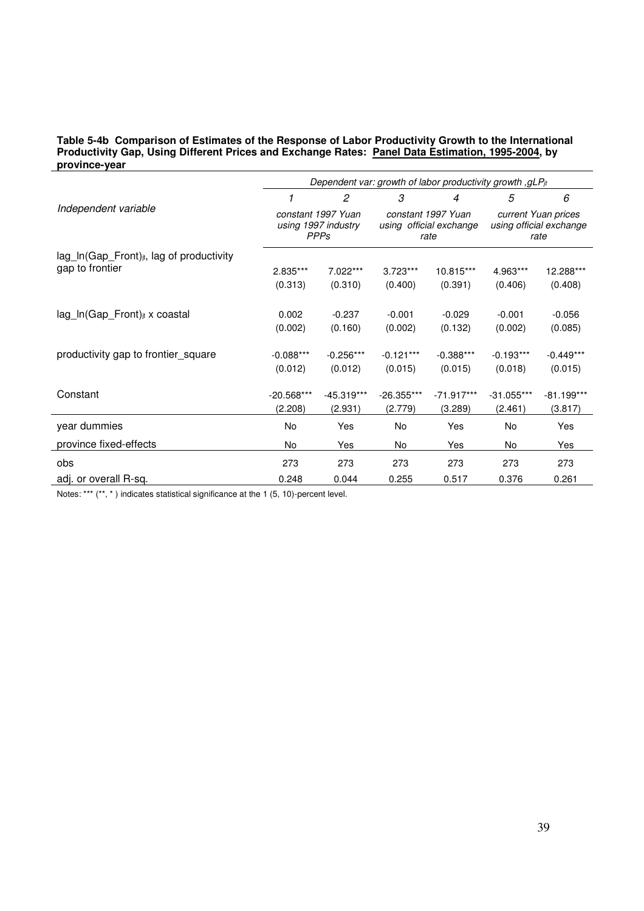#### **Table 5-4b Comparison of Estimates of the Response of Labor Productivity Growth to the International Productivity Gap, Using Different Prices and Exchange Rates: Panel Data Estimation, 1995-2004, by province-year**

|                                                       | Dependent var: growth of labor productivity growth , gLPjt |                        |                        |                                                       |                                                        |                        |  |  |
|-------------------------------------------------------|------------------------------------------------------------|------------------------|------------------------|-------------------------------------------------------|--------------------------------------------------------|------------------------|--|--|
|                                                       | 1                                                          | $\mathfrak{p}$         | 3                      | 4                                                     | 5                                                      | 6                      |  |  |
| Independent variable                                  | constant 1997 Yuan<br>using 1997 industry<br><b>PPPs</b>   |                        |                        | constant 1997 Yuan<br>using official exchange<br>rate | current Yuan prices<br>using official exchange<br>rate |                        |  |  |
| lag_In(Gap_Front) <sub>jt</sub> , lag of productivity |                                                            |                        |                        |                                                       |                                                        |                        |  |  |
| gap to frontier                                       | 2.835***                                                   | 7.022***               | $3.723***$             | 10.815***                                             | 4.963***                                               | 12.288***              |  |  |
|                                                       | (0.313)                                                    | (0.310)                | (0.400)                | (0.391)                                               | (0.406)                                                | (0.408)                |  |  |
|                                                       |                                                            |                        |                        |                                                       |                                                        |                        |  |  |
| lag_ln(Gap_Front) <sub>jt</sub> x coastal             | 0.002                                                      | $-0.237$               | $-0.001$               | $-0.029$                                              | $-0.001$                                               | $-0.056$               |  |  |
|                                                       | (0.002)                                                    | (0.160)                | (0.002)                | (0.132)                                               | (0.002)                                                | (0.085)                |  |  |
| productivity gap to frontier_square                   | $-0.088***$<br>(0.012)                                     | $-0.256***$<br>(0.012) | $-0.121***$<br>(0.015) | $-0.388***$<br>(0.015)                                | $-0.193***$<br>(0.018)                                 | $-0.449***$<br>(0.015) |  |  |
| Constant                                              | $-20.568***$                                               | -45.319***             | $-26.355***$           | $-71.917***$                                          | $-31.055***$                                           | $-81.199***$           |  |  |
|                                                       | (2.208)                                                    | (2.931)                | (2.779)                | (3.289)                                               | (2.461)                                                | (3.817)                |  |  |
| year dummies                                          | No                                                         | Yes                    | No                     | Yes                                                   | No                                                     | Yes                    |  |  |
| province fixed-effects                                | No                                                         | Yes                    | No                     | Yes                                                   | No                                                     | Yes                    |  |  |
| obs                                                   | 273                                                        | 273                    | 273                    | 273                                                   | 273                                                    | 273                    |  |  |
| adj. or overall R-sq.                                 | 0.248                                                      | 0.044                  | 0.255                  | 0.517                                                 | 0.376                                                  | 0.261                  |  |  |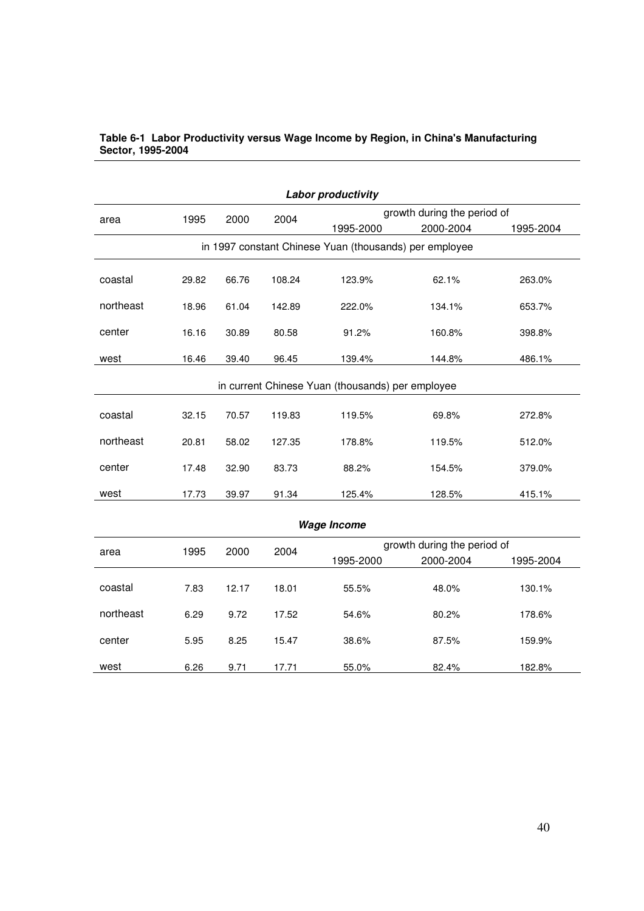| <b>Labor productivity</b>                              |       |       |        |                             |                             |           |  |  |  |  |  |  |
|--------------------------------------------------------|-------|-------|--------|-----------------------------|-----------------------------|-----------|--|--|--|--|--|--|
| area                                                   | 1995  | 2000  | 2004   | growth during the period of |                             |           |  |  |  |  |  |  |
|                                                        |       |       |        | 1995-2000                   | 2000-2004                   | 1995-2004 |  |  |  |  |  |  |
| in 1997 constant Chinese Yuan (thousands) per employee |       |       |        |                             |                             |           |  |  |  |  |  |  |
| coastal                                                | 29.82 | 66.76 | 108.24 | 123.9%                      | 62.1%                       | 263.0%    |  |  |  |  |  |  |
| northeast                                              | 18.96 | 61.04 | 142.89 | 222.0%                      | 134.1%                      | 653.7%    |  |  |  |  |  |  |
| center                                                 | 16.16 | 30.89 | 80.58  | 91.2%                       | 160.8%                      | 398.8%    |  |  |  |  |  |  |
| west                                                   | 16.46 | 39.40 | 96.45  | 139.4%                      | 144.8%                      | 486.1%    |  |  |  |  |  |  |
| in current Chinese Yuan (thousands) per employee       |       |       |        |                             |                             |           |  |  |  |  |  |  |
| coastal                                                | 32.15 | 70.57 | 119.83 | 119.5%                      | 69.8%                       | 272.8%    |  |  |  |  |  |  |
| northeast                                              | 20.81 | 58.02 | 127.35 | 178.8%                      | 119.5%                      | 512.0%    |  |  |  |  |  |  |
| center                                                 | 17.48 | 32.90 | 83.73  | 88.2%                       | 154.5%                      | 379.0%    |  |  |  |  |  |  |
| west                                                   | 17.73 | 39.97 | 91.34  | 125.4%                      | 128.5%                      | 415.1%    |  |  |  |  |  |  |
| <b>Wage Income</b>                                     |       |       |        |                             |                             |           |  |  |  |  |  |  |
| area                                                   | 1995  | 2000  | 2004   |                             | growth during the period of |           |  |  |  |  |  |  |
|                                                        |       |       |        | 1995-2000                   | 2000-2004                   | 1995-2004 |  |  |  |  |  |  |
| coastal                                                | 7.83  | 12.17 | 18.01  | 55.5%                       | 48.0%                       | 130.1%    |  |  |  |  |  |  |

northeast 6.29 9.72 17.52 54.6% 80.2% 178.6%

center 5.95 8.25 15.47 38.6% 87.5% 159.9%

west 6.26 9.71 17.71 55.0% 82.4% 182.8%

#### **Table 6-1 Labor Productivity versus Wage Income by Region, in China's Manufacturing Sector, 1995-2004**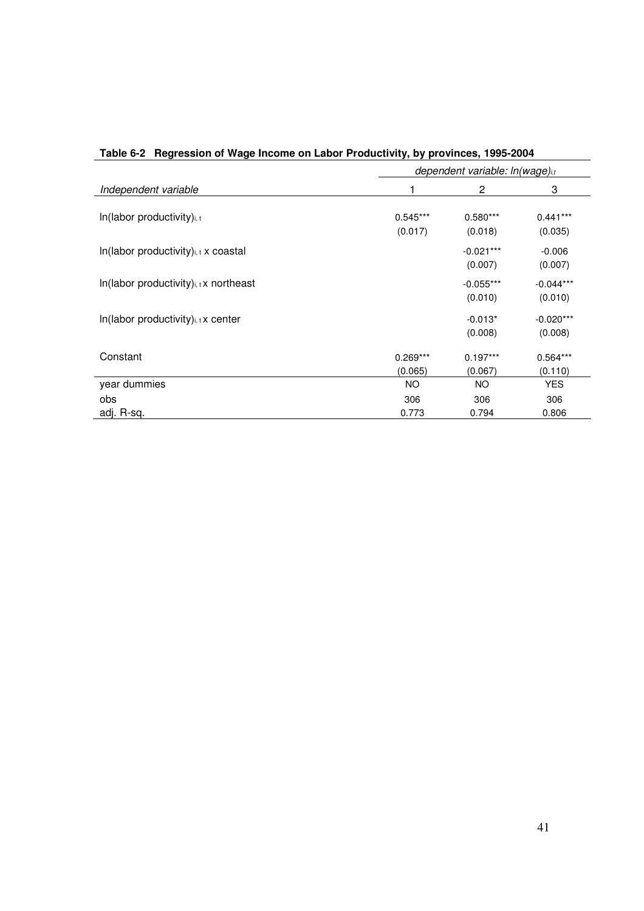|                                                       | dependent variable: ln(wage)i,t |                        |                        |  |  |  |  |
|-------------------------------------------------------|---------------------------------|------------------------|------------------------|--|--|--|--|
| Independent variable                                  |                                 | 2                      | 3                      |  |  |  |  |
| In(labor productivity)i, t                            | $0.545***$<br>(0.017)           | $0.580***$<br>(0.018)  | $0.441***$<br>(0.035)  |  |  |  |  |
| $In$ (labor productivity) $_{i,t}$ x coastal          |                                 | $-0.021***$<br>(0.007) | $-0.006$<br>(0.007)    |  |  |  |  |
| $In$ (labor productivity) <sub>i, t</sub> x northeast |                                 | $-0.055***$<br>(0.010) | $-0.044***$<br>(0.010) |  |  |  |  |
| In(labor productivity) <sub>i, t</sub> x center       |                                 | $-0.013*$<br>(0.008)   | $-0.020***$<br>(0.008) |  |  |  |  |
| Constant                                              | $0.269***$<br>(0.065)           | $0.197***$<br>(0.067)  | $0.564***$<br>(0.110)  |  |  |  |  |
| year dummies                                          | <b>NO</b>                       | <b>NO</b>              | <b>YES</b>             |  |  |  |  |
| obs                                                   | 306                             | 306                    | 306                    |  |  |  |  |
| adj. R-sq.                                            | 0.773                           | 0.794                  | 0.806                  |  |  |  |  |

|  |  | Table 6-2 Regression of Wage Income on Labor Productivity, by provinces, 1995-2004 |
|--|--|------------------------------------------------------------------------------------|
|  |  |                                                                                    |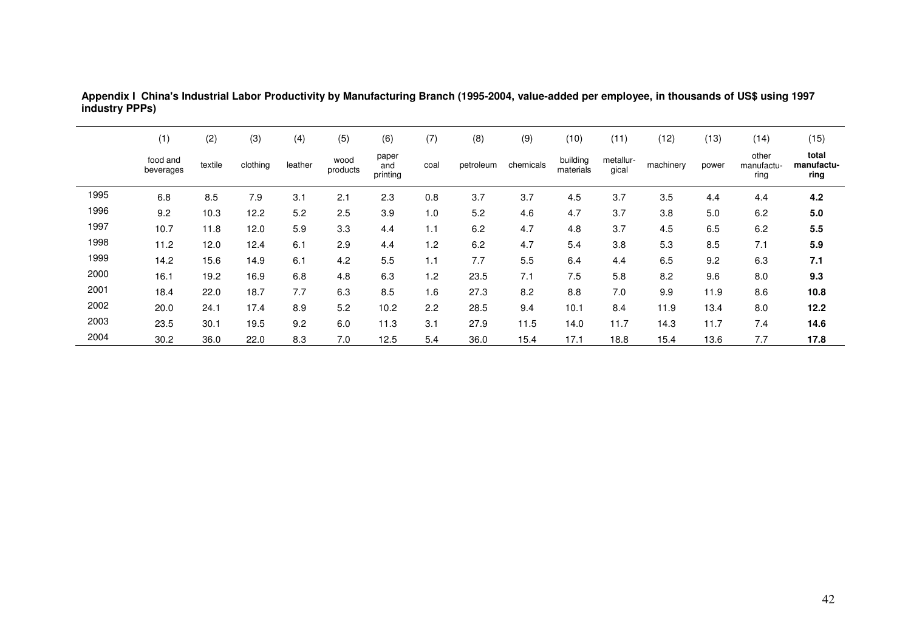|      | (1)                   | (2)     | (3)      | (4)     | (5)              | (6)                      | (7)  | (8)       | (9)       | (10)                  | (11)               | (12)      | (13)  | (14)                        | (15)                        |
|------|-----------------------|---------|----------|---------|------------------|--------------------------|------|-----------|-----------|-----------------------|--------------------|-----------|-------|-----------------------------|-----------------------------|
|      | food and<br>beverages | textile | clothing | leather | wood<br>products | paper<br>and<br>printing | coal | petroleum | chemicals | building<br>materials | metallur-<br>gical | machinery | power | other<br>manufactu-<br>ring | total<br>manufactu-<br>ring |
| 1995 | 6.8                   | 8.5     | 7.9      | 3.1     | 2.1              | 2.3                      | 0.8  | 3.7       | 3.7       | 4.5                   | 3.7                | 3.5       | 4.4   | 4.4                         | 4.2                         |
| 1996 | 9.2                   | 10.3    | 12.2     | 5.2     | 2.5              | 3.9                      | 1.0  | 5.2       | 4.6       | 4.7                   | 3.7                | 3.8       | 5.0   | 6.2                         | 5.0                         |
| 1997 | 10.7                  | 11.8    | 12.0     | 5.9     | 3.3              | 4.4                      | 1.1  | 6.2       | 4.7       | 4.8                   | 3.7                | 4.5       | 6.5   | 6.2                         | 5.5                         |
| 1998 | 11.2                  | 12.0    | 12.4     | 6.1     | 2.9              | 4.4                      | 1.2  | 6.2       | 4.7       | 5.4                   | 3.8                | 5.3       | 8.5   | 7.1                         | 5.9                         |
| 1999 | 14.2                  | 15.6    | 14.9     | 6.1     | 4.2              | 5.5                      | 1.1  | 7.7       | 5.5       | 6.4                   | 4.4                | 6.5       | 9.2   | 6.3                         | 7.1                         |
| 2000 | 16.1                  | 19.2    | 16.9     | 6.8     | 4.8              | 6.3                      | 1.2  | 23.5      | 7.1       | 7.5                   | 5.8                | 8.2       | 9.6   | 8.0                         | 9.3                         |
| 2001 | 18.4                  | 22.0    | 18.7     | 7.7     | 6.3              | 8.5                      | 1.6  | 27.3      | 8.2       | 8.8                   | 7.0                | 9.9       | 11.9  | 8.6                         | 10.8                        |
| 2002 | 20.0                  | 24.1    | 17.4     | 8.9     | 5.2              | 10.2                     | 2.2  | 28.5      | 9.4       | 10.1                  | 8.4                | 11.9      | 13.4  | 8.0                         | 12.2                        |
| 2003 | 23.5                  | 30.1    | 19.5     | 9.2     | 6.0              | 11.3                     | 3.1  | 27.9      | 11.5      | 14.0                  | 11.7               | 14.3      | 11.7  | 7.4                         | 14.6                        |
| 2004 | 30.2                  | 36.0    | 22.0     | 8.3     | 7.0              | 12.5                     | 5.4  | 36.0      | 15.4      | 17.1                  | 18.8               | 15.4      | 13.6  | 7.7                         | 17.8                        |

**Appendix I China's Industrial Labor Productivity by Manufacturing Branch (1995-2004, value-added per employee, in thousands of US\$ using 1997 industry PPPs)**